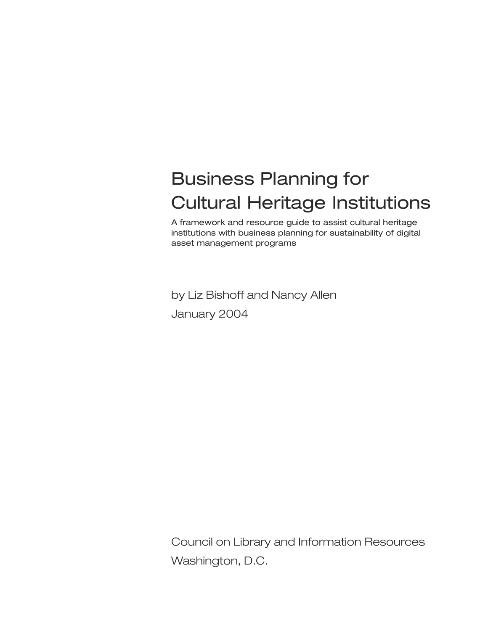# Business Planning for Cultural Heritage Institutions

A framework and resource guide to assist cultural heritage institutions with business planning for sustainability of digital asset management programs

by Liz Bishoff and Nancy Allen January 2004

Council on Library and Information Resources Washington, D.C.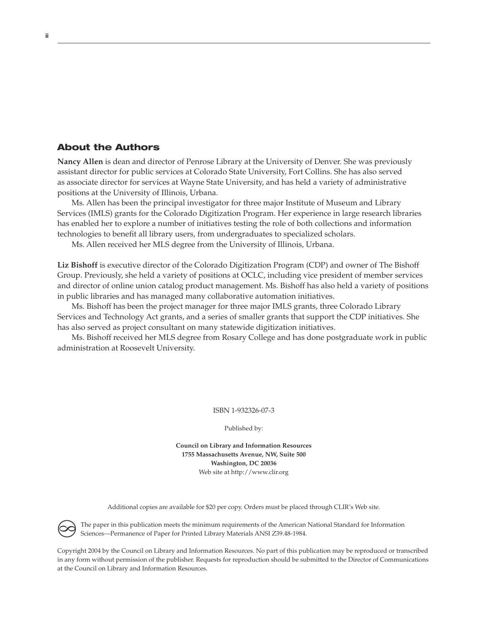## About the Authors

**Nancy Allen** is dean and director of Penrose Library at the University of Denver. She was previously assistant director for public services at Colorado State University, Fort Collins. She has also served as associate director for services at Wayne State University, and has held a variety of administrative positions at the University of Illinois, Urbana.

Ms. Allen has been the principal investigator for three major Institute of Museum and Library Services (IMLS) grants for the Colorado Digitization Program. Her experience in large research libraries has enabled her to explore a number of initiatives testing the role of both collections and information technologies to benefit all library users, from undergraduates to specialized scholars.

Ms. Allen received her MLS degree from the University of Illinois, Urbana.

**Liz Bishoff** is executive director of the Colorado Digitization Program (CDP) and owner of The Bishoff Group. Previously, she held a variety of positions at OCLC, including vice president of member services and director of online union catalog product management. Ms. Bishoff has also held a variety of positions in public libraries and has managed many collaborative automation initiatives.

Ms. Bishoff has been the project manager for three major IMLS grants, three Colorado Library Services and Technology Act grants, and a series of smaller grants that support the CDP initiatives. She has also served as project consultant on many statewide digitization initiatives.

Ms. Bishoff received her MLS degree from Rosary College and has done postgraduate work in public administration at Roosevelt University.

ISBN 1-932326-07-3

Published by:

**Council on Library and Information Resources 1755 Massachusetts Avenue, NW, Suite 500 Washington, DC 20036** Web site at http://www.clir.org

Additional copies are available for \$20 per copy. Orders must be placed through CLIR's Web site.

The paper in this publication meets the minimum requirements of the American National Standard for Information Sciences—Permanence of Paper for Printed Library Materials ANSI Z39.48-1984.  $\infty$ 

Copyright 2004 by the Council on Library and Information Resources. No part of this publication may be reproduced or transcribed in any form without permission of the publisher. Requests for reproduction should be submitted to the Director of Communications at the Council on Library and Information Resources.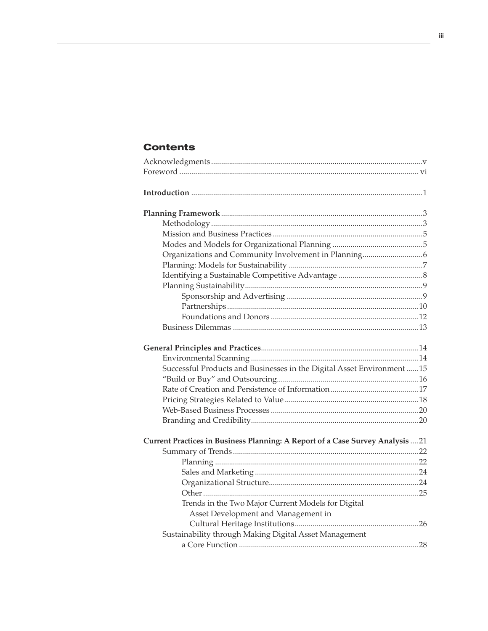## **Contents**

| Successful Products and Businesses in the Digital Asset Environment 15         |  |
|--------------------------------------------------------------------------------|--|
|                                                                                |  |
|                                                                                |  |
|                                                                                |  |
|                                                                                |  |
|                                                                                |  |
| Current Practices in Business Planning: A Report of a Case Survey Analysis  21 |  |
|                                                                                |  |
|                                                                                |  |
|                                                                                |  |
|                                                                                |  |
|                                                                                |  |
| Trends in the Two Major Current Models for Digital                             |  |
| Asset Development and Management in                                            |  |
|                                                                                |  |
| Sustainability through Making Digital Asset Management                         |  |
|                                                                                |  |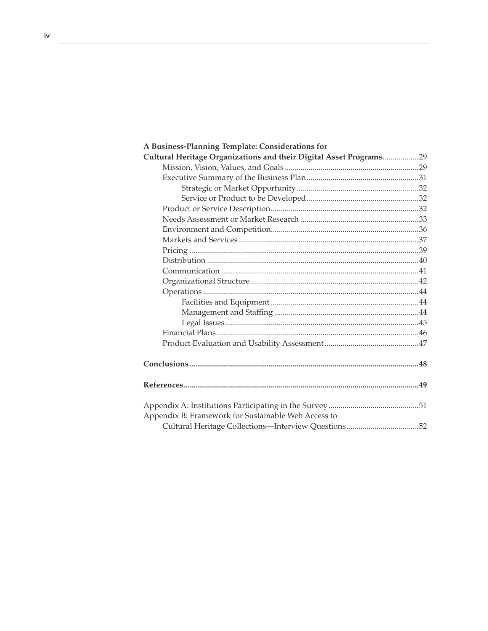| A Business-Planning Template: Considerations for                   |  |
|--------------------------------------------------------------------|--|
| Cultural Heritage Organizations and their Digital Asset Programs29 |  |
|                                                                    |  |
|                                                                    |  |
|                                                                    |  |
|                                                                    |  |
|                                                                    |  |
|                                                                    |  |
|                                                                    |  |
|                                                                    |  |
|                                                                    |  |
|                                                                    |  |
|                                                                    |  |
|                                                                    |  |
|                                                                    |  |
|                                                                    |  |
|                                                                    |  |
|                                                                    |  |
|                                                                    |  |
|                                                                    |  |
|                                                                    |  |
|                                                                    |  |
|                                                                    |  |
| Appendix B: Framework for Sustainable Web Access to                |  |
| Cultural Heritage Collections-Interview Questions52                |  |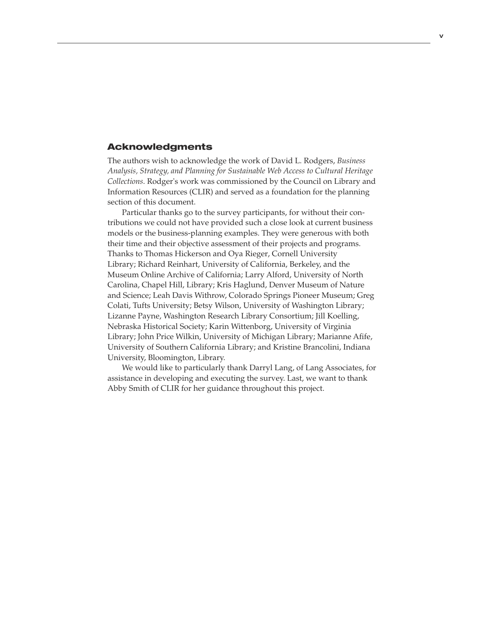#### Acknowledgments

The authors wish to acknowledge the work of David L. Rodgers, *Business Analysis, Strategy, and Planning for Sustainable Web Access to Cultural Heritage Collections*. Rodger's work was commissioned by the Council on Library and Information Resources (CLIR) and served as a foundation for the planning section of this document.

Particular thanks go to the survey participants, for without their contributions we could not have provided such a close look at current business models or the business-planning examples. They were generous with both their time and their objective assessment of their projects and programs. Thanks to Thomas Hickerson and Oya Rieger, Cornell University Library; Richard Reinhart, University of California, Berkeley, and the Museum Online Archive of California; Larry Alford, University of North Carolina, Chapel Hill, Library; Kris Haglund, Denver Museum of Nature and Science; Leah Davis Withrow, Colorado Springs Pioneer Museum; Greg Colati, Tufts University; Betsy Wilson, University of Washington Library; Lizanne Payne, Washington Research Library Consortium; Jill Koelling, Nebraska Historical Society; Karin Wittenborg, University of Virginia Library; John Price Wilkin, University of Michigan Library; Marianne Afife, University of Southern California Library; and Kristine Brancolini, Indiana University, Bloomington, Library.

We would like to particularly thank Darryl Lang, of Lang Associates, for assistance in developing and executing the survey. Last, we want to thank Abby Smith of CLIR for her guidance throughout this project.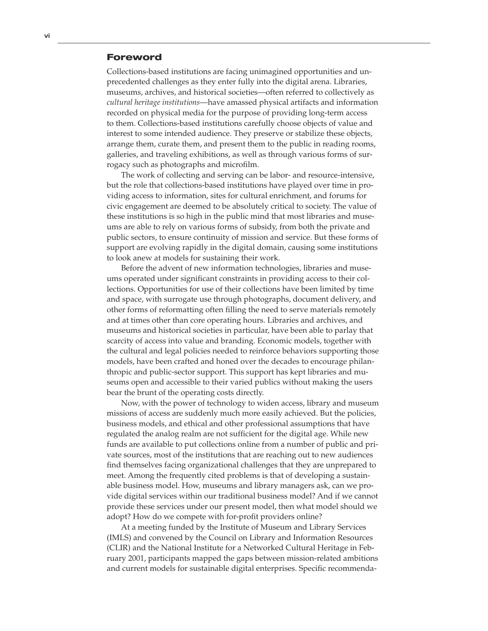#### Foreword

Collections-based institutions are facing unimagined opportunities and unprecedented challenges as they enter fully into the digital arena. Libraries, museums, archives, and historical societies—often referred to collectively as *cultural heritage institutions*—have amassed physical artifacts and information recorded on physical media for the purpose of providing long-term access to them. Collections-based institutions carefully choose objects of value and interest to some intended audience. They preserve or stabilize these objects, arrange them, curate them, and present them to the public in reading rooms, galleries, and traveling exhibitions, as well as through various forms of surrogacy such as photographs and microfilm.

The work of collecting and serving can be labor- and resource-intensive, but the role that collections-based institutions have played over time in providing access to information, sites for cultural enrichment, and forums for civic engagement are deemed to be absolutely critical to society. The value of these institutions is so high in the public mind that most libraries and museums are able to rely on various forms of subsidy, from both the private and public sectors, to ensure continuity of mission and service. But these forms of support are evolving rapidly in the digital domain, causing some institutions to look anew at models for sustaining their work.

Before the advent of new information technologies, libraries and museums operated under significant constraints in providing access to their collections. Opportunities for use of their collections have been limited by time and space, with surrogate use through photographs, document delivery, and other forms of reformatting often filling the need to serve materials remotely and at times other than core operating hours. Libraries and archives, and museums and historical societies in particular, have been able to parlay that scarcity of access into value and branding. Economic models, together with the cultural and legal policies needed to reinforce behaviors supporting those models, have been crafted and honed over the decades to encourage philanthropic and public-sector support. This support has kept libraries and museums open and accessible to their varied publics without making the users bear the brunt of the operating costs directly.

Now, with the power of technology to widen access, library and museum missions of access are suddenly much more easily achieved. But the policies, business models, and ethical and other professional assumptions that have regulated the analog realm are not sufficient for the digital age. While new funds are available to put collections online from a number of public and private sources, most of the institutions that are reaching out to new audiences find themselves facing organizational challenges that they are unprepared to meet. Among the frequently cited problems is that of developing a sustainable business model. How, museums and library managers ask, can we provide digital services within our traditional business model? And if we cannot provide these services under our present model, then what model should we adopt? How do we compete with for-profit providers online?

At a meeting funded by the Institute of Museum and Library Services (IMLS) and convened by the Council on Library and Information Resources (CLIR) and the National Institute for a Networked Cultural Heritage in February 2001, participants mapped the gaps between mission-related ambitions and current models for sustainable digital enterprises. Specific recommenda-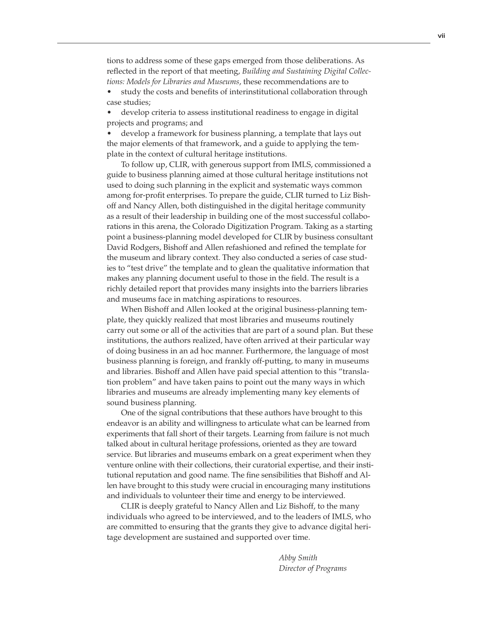tions to address some of these gaps emerged from those deliberations. As reflected in the report of that meeting, *Building and Sustaining Digital Collections: Models for Libraries and Museums*, these recommendations are to

• study the costs and benefits of interinstitutional collaboration through case studies;

• develop criteria to assess institutional readiness to engage in digital projects and programs; and

• develop a framework for business planning, a template that lays out the major elements of that framework, and a guide to applying the template in the context of cultural heritage institutions.

To follow up, CLIR, with generous support from IMLS, commissioned a guide to business planning aimed at those cultural heritage institutions not used to doing such planning in the explicit and systematic ways common among for-profit enterprises. To prepare the guide, CLIR turned to Liz Bishoff and Nancy Allen, both distinguished in the digital heritage community as a result of their leadership in building one of the most successful collaborations in this arena, the Colorado Digitization Program. Taking as a starting point a business-planning model developed for CLIR by business consultant David Rodgers, Bishoff and Allen refashioned and refined the template for the museum and library context. They also conducted a series of case studies to "test drive" the template and to glean the qualitative information that makes any planning document useful to those in the field. The result is a richly detailed report that provides many insights into the barriers libraries and museums face in matching aspirations to resources.

When Bishoff and Allen looked at the original business-planning template, they quickly realized that most libraries and museums routinely carry out some or all of the activities that are part of a sound plan. But these institutions, the authors realized, have often arrived at their particular way of doing business in an ad hoc manner. Furthermore, the language of most business planning is foreign, and frankly off-putting, to many in museums and libraries. Bishoff and Allen have paid special attention to this "translation problem" and have taken pains to point out the many ways in which libraries and museums are already implementing many key elements of sound business planning.

One of the signal contributions that these authors have brought to this endeavor is an ability and willingness to articulate what can be learned from experiments that fall short of their targets. Learning from failure is not much talked about in cultural heritage professions, oriented as they are toward service. But libraries and museums embark on a great experiment when they venture online with their collections, their curatorial expertise, and their institutional reputation and good name. The fine sensibilities that Bishoff and Allen have brought to this study were crucial in encouraging many institutions and individuals to volunteer their time and energy to be interviewed.

CLIR is deeply grateful to Nancy Allen and Liz Bishoff, to the many individuals who agreed to be interviewed, and to the leaders of IMLS, who are committed to ensuring that the grants they give to advance digital heritage development are sustained and supported over time.

> *Abby Smith Director of Programs*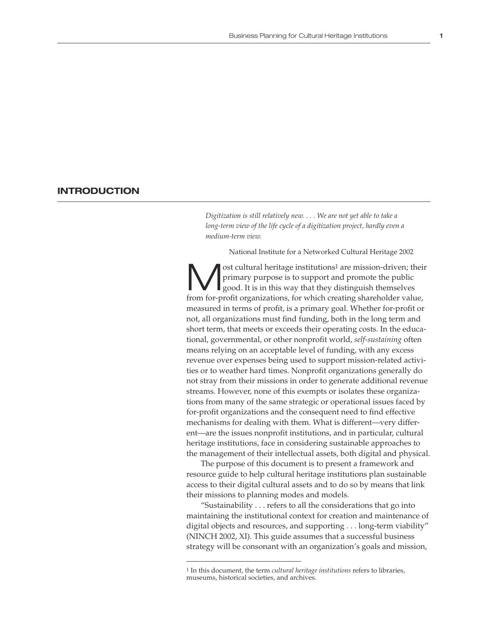#### **INTRODUCTION**

*Digitization is still relatively new. . . . We are not yet able to take a*  long-term view of the life cycle of a digitization project, hardly even a *medium-term view.*

National Institute for a Networked Cultural Heritage 2002

ost cultural heritage institutions<sup>1</sup> are mission-driven; their primary purpose is to support and promote the public good. It is in this way that they distinguish themselves from for-profit organizations, for which creating shareholder value, measured in terms of profit, is a primary goal. Whether for-profit or not, all organizations must find funding, both in the long term and short term, that meets or exceeds their operating costs. In the educational, governmental, or other nonprofit world, *self-sustaining* often means relying on an acceptable level of funding, with any excess revenue over expenses being used to support mission-related activities or to weather hard times. Nonprofit organizations generally do not stray from their missions in order to generate additional revenue streams. However, none of this exempts or isolates these organizations from many of the same strategic or operational issues faced by for-profit organizations and the consequent need to find effective mechanisms for dealing with them. What is different—very different—are the issues nonprofit institutions, and in particular, cultural heritage institutions, face in considering sustainable approaches to the management of their intellectual assets, both digital and physical.

The purpose of this document is to present a framework and resource guide to help cultural heritage institutions plan sustainable access to their digital cultural assets and to do so by means that link their missions to planning modes and models.

"Sustainability . . . refers to all the considerations that go into maintaining the institutional context for creation and maintenance of digital objects and resources, and supporting . . . long-term viability" (NINCH 2002, XI). This guide assumes that a successful business strategy will be consonant with an organization's goals and mission,

<sup>1</sup> In this document, the term *cultural heritage institutions* refers to libraries, museums, historical societies, and archives.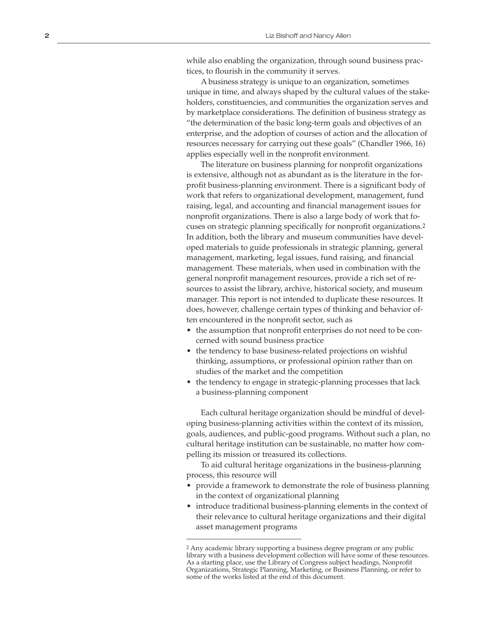while also enabling the organization, through sound business prac tices, to flourish in the community it serves.

A business strategy is unique to an organization, sometimes unique in time, and always shaped by the cultural values of the stake holders, constituencies, and communities the organization serves and by marketplace considerations. The definition of business strategy as "the determination of the basic long-term goals and objectives of an enterprise, and the adoption of courses of action and the allocation of resources necessary for carrying out these goals" (Chandler 1966, 16) applies especially well in the nonprofit environment.

The literature on business planning for nonprofit organizations is extensive, although not as abundant as is the literature in the forprofit business-planning environment. There is a significant body of work that refers to organizational development, management, fund raising, legal, and accounting and financial management issues for nonprofit organizations. There is also a large body of work that fo cuses on strategic planning specifically for nonprofit organizations. 2 In addition, both the library and museum communities have devel oped materials to guide professionals in strategic planning, general management, marketing, legal issues, fund raising, and financial management. These materials, when used in combination with the general nonprofit management resources, provide a rich set of re sources to assist the library, archive, historical society, and museum manager. This report is not intended to duplicate these resources. It does, however, challenge certain types of thinking and behavior of ten encountered in the nonprofit sector, such as<br>• the assumption that nonprofit enterprises do not need to be con-

- cerned with sound business practice
- the tendency to base business-related projections on wishful thinking, assumptions, or professional opinion rather than on studies of the market and the competition
- the tendency to engage in strategic-planning processes that lack a business-planning component

Each cultural heritage organization should be mindful of devel oping business-planning activities within the context of its mission, goals, audiences, and public-good programs. Without such a plan, no cultural heritage institution can be sustainable, no matter how com pelling its mission or treasured its collections.

To aid cultural heritage organizations in the business-planning process, this resource will

- provide a framework to demonstrate the role of business planning in the context of organizational planning
- introduce traditional business-planning elements in the context of their relevance to cultural heritage organizations and their digital asset management programs

<sup>2</sup> Any academic library supporting a business degree program or any public library with a business development collection will have some of these resources. As a starting place, use the Library of Congress subject headings, Nonprofit Organizations, Strategic Planning, Marketing, or Business Planning, or refer to some of the works listed at the end of this document.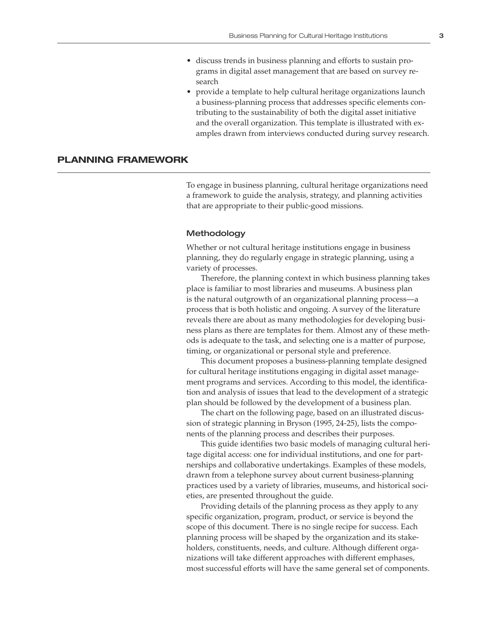- discuss trends in business planning and efforts to sustain programs in digital asset management that are based on survey research
- provide a template to help cultural heritage organizations launch a business-planning process that addresses specific elements contributing to the sustainability of both the digital asset initiative and the overall organization. This template is illustrated with examples drawn from interviews conducted during survey research.

#### **PLANNING FRAMEWORK**

To engage in business planning, cultural heritage organizations need a framework to guide the analysis, strategy, and planning activities that are appropriate to their public-good missions.

#### Methodology

Whether or not cultural heritage institutions engage in business planning, they do regularly engage in strategic planning, using a variety of processes.

Therefore, the planning context in which business planning takes place is familiar to most libraries and museums. A business plan is the natural outgrowth of an organizational planning process—a process that is both holistic and ongoing. A survey of the literature reveals there are about as many methodologies for developing business plans as there are templates for them. Almost any of these methods is adequate to the task, and selecting one is a matter of purpose, timing, or organizational or personal style and preference.

This document proposes a business-planning template designed for cultural heritage institutions engaging in digital asset management programs and services. According to this model, the identification and analysis of issues that lead to the development of a strategic plan should be followed by the development of a business plan.

The chart on the following page, based on an illustrated discussion of strategic planning in Bryson (1995, 24-25), lists the components of the planning process and describes their purposes.

This guide identifies two basic models of managing cultural heritage digital access: one for individual institutions, and one for partnerships and collaborative undertakings. Examples of these models, drawn from a telephone survey about current business-planning practices used by a variety of libraries, museums, and historical societies, are presented throughout the guide.

Providing details of the planning process as they apply to any specific organization, program, product, or service is beyond the scope of this document. There is no single recipe for success. Each planning process will be shaped by the organization and its stakeholders, constituents, needs, and culture. Although different organizations will take different approaches with different emphases, most successful efforts will have the same general set of components.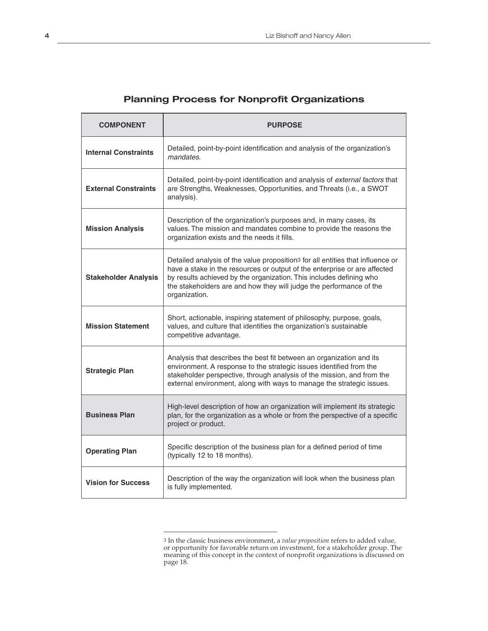| <b>COMPONENT</b>            | <b>PURPOSE</b>                                                                                                                                                                                                                                                                                                                         |
|-----------------------------|----------------------------------------------------------------------------------------------------------------------------------------------------------------------------------------------------------------------------------------------------------------------------------------------------------------------------------------|
| <b>Internal Constraints</b> | Detailed, point-by-point identification and analysis of the organization's<br>mandates.                                                                                                                                                                                                                                                |
| <b>External Constraints</b> | Detailed, point-by-point identification and analysis of external factors that<br>are Strengths, Weaknesses, Opportunities, and Threats (i.e., a SWOT<br>analysis).                                                                                                                                                                     |
| <b>Mission Analysis</b>     | Description of the organization's purposes and, in many cases, its<br>values. The mission and mandates combine to provide the reasons the<br>organization exists and the needs it fills.                                                                                                                                               |
| <b>Stakeholder Analysis</b> | Detailed analysis of the value proposition <sup>3</sup> for all entities that influence or<br>have a stake in the resources or output of the enterprise or are affected<br>by results achieved by the organization. This includes defining who<br>the stakeholders are and how they will judge the performance of the<br>organization. |
| <b>Mission Statement</b>    | Short, actionable, inspiring statement of philosophy, purpose, goals,<br>values, and culture that identifies the organization's sustainable<br>competitive advantage.                                                                                                                                                                  |
| <b>Strategic Plan</b>       | Analysis that describes the best fit between an organization and its<br>environment. A response to the strategic issues identified from the<br>stakeholder perspective, through analysis of the mission, and from the<br>external environment, along with ways to manage the strategic issues.                                         |
| <b>Business Plan</b>        | High-level description of how an organization will implement its strategic<br>plan, for the organization as a whole or from the perspective of a specific<br>project or product.                                                                                                                                                       |
| <b>Operating Plan</b>       | Specific description of the business plan for a defined period of time<br>(typically 12 to 18 months).                                                                                                                                                                                                                                 |
| <b>Vision for Success</b>   | Description of the way the organization will look when the business plan<br>is fully implemented.                                                                                                                                                                                                                                      |

## **Planning Process for Nonprofit Organizations**

<sup>3</sup> In the classic business environment, a *value proposition* refers to added value, or opportunity for favorable return on investment, for a stakeholder group. The meaning of this concept in the context of nonprofit organizations is discussed on page 18.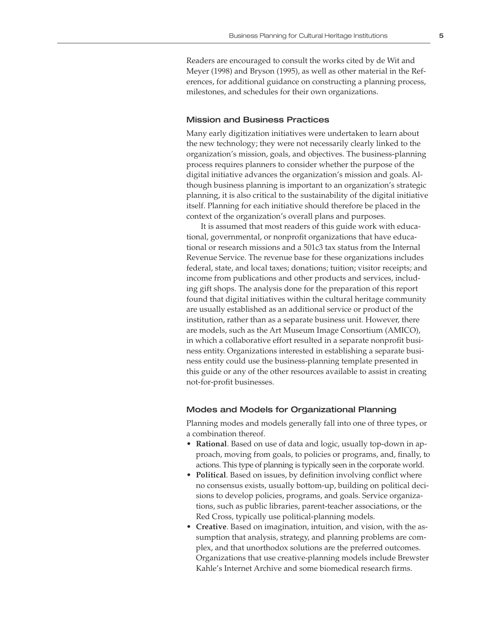Readers are encouraged to consult the works cited by de Wit and Meyer (1998) and Bryson (1995), as well as other material in the References, for additional guidance on constructing a planning process, milestones, and schedules for their own organizations.

#### Mission and Business Practices

Many early digitization initiatives were undertaken to learn about the new technology; they were not necessarily clearly linked to the organization's mission, goals, and objectives. The business-planning process requires planners to consider whether the purpose of the digital initiative advances the organization's mission and goals. Although business planning is important to an organization's strategic planning, it is also critical to the sustainability of the digital initiative itself. Planning for each initiative should therefore be placed in the context of the organization's overall plans and purposes.

It is assumed that most readers of this guide work with educational, governmental, or nonprofit organizations that have educational or research missions and a 501c3 tax status from the Internal Revenue Service. The revenue base for these organizations includes federal, state, and local taxes; donations; tuition; visitor receipts; and income from publications and other products and services, including gift shops. The analysis done for the preparation of this report found that digital initiatives within the cultural heritage community are usually established as an additional service or product of the institution, rather than as a separate business unit. However, there are models, such as the Art Museum Image Consortium (AMICO), in which a collaborative effort resulted in a separate nonprofit business entity. Organizations interested in establishing a separate business entity could use the business-planning template presented in this guide or any of the other resources available to assist in creating not-for-profit businesses.

#### Modes and Models for Organizational Planning

Planning modes and models generally fall into one of three types, or a combination thereof.

- **Rational**. Based on use of data and logic, usually top-down in approach, moving from goals, to policies or programs, and, finally, to actions. This type of planning is typically seen in the corporate world.
- **Political**. Based on issues, by definition involving conflict where no consensus exists, usually bottom-up, building on political decisions to develop policies, programs, and goals. Service organizations, such as public libraries, parent-teacher associations, or the Red Cross, typically use political-planning models.
- **Creative**. Based on imagination, intuition, and vision, with the assumption that analysis, strategy, and planning problems are complex, and that unorthodox solutions are the preferred outcomes. Organizations that use creative-planning models include Brewster Kahle's Internet Archive and some biomedical research firms.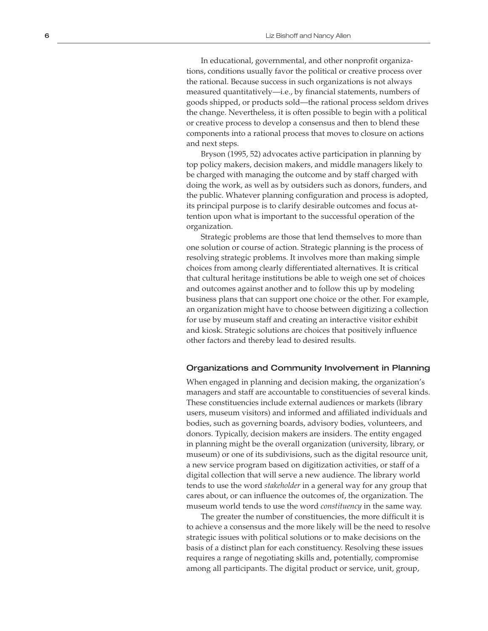In educational, governmental, and other nonprofit organiza tions, conditions usually favor the political or creative process over the rational. Because success in such organizations is not always measured quantitatively—i.e., by financial statements, numbers of goods shipped, or products sold—the rational process seldom drives the change. Nevertheless, it is often possible to begin with a political or creative process to develop a consensus and then to blend these components into a rational process that moves to closure on actions and next steps.

Bryson (1995, 52) advocates active participation in planning by top policy makers, decision makers, and middle managers likely to be charged with managing the outcome and by staff charged with doing the work, as well as by outsiders such as donors, funders, and the public. Whatever planning configuration and process is adopted, its principal purpose is to clarify desirable outcomes and focus at tention upon what is important to the successful operation of the organization.

Strategic problems are those that lend themselves to more than one solution or course of action. Strategic planning is the process of resolving strategic problems. It involves more than making simple choices from among clearly differentiated alternatives. It is critical that cultural heritage institutions be able to weigh one set of choices and outcomes against another and to follow this up by modeling business plans that can support one choice or the other. For example, an organization might have to choose between digitizing a collection for use by museum staff and creating an interactive visitor exhibit and kiosk. Strategic solutions are choices that positively influence other factors and thereby lead to desired results.

#### Organizations and Community Involvement in Planning

When engaged in planning and decision making, the organization's managers and staff are accountable to constituencies of several kinds. These constituencies include external audiences or markets (library users, museum visitors) and informed and affiliated individuals and bodies, such as governing boards, advisory bodies, volunteers, and donors. Typically, decision makers are insiders. The entity engaged in planning might be the overall organization (university, library, or museum) or one of its subdivisions, such as the digital resource unit, a new service program based on digitization activities, or staff of a digital collection that will serve a new audience. The library world tends to use the word *stakeholder* in a general way for any group that cares about, or can influence the outcomes of, the organization. The museum world tends to use the word *constituency* in the same way.

The greater the number of constituencies, the more difficult it is to achieve a consensus and the more likely will be the need to resolve strategic issues with political solutions or to make decisions on the basis of a distinct plan for each constituency. Resolving these issues requires a range of negotiating skills and, potentially, compromise among all participants. The digital product or service, unit, group,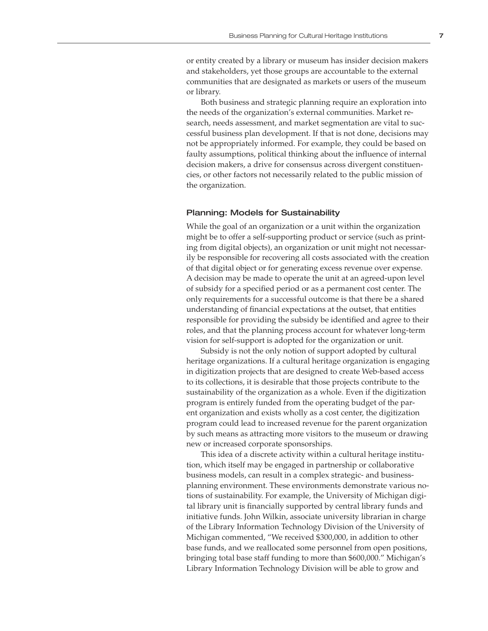or entity created by a library or museum has insider decision makers and stakeholders, yet those groups are accountable to the external communities that are designated as markets or users of the museum or library.

Both business and strategic planning require an exploration into the needs of the organization's external communities. Market research, needs assessment, and market segmentation are vital to successful business plan development. If that is not done, decisions may not be appropriately informed. For example, they could be based on faulty assumptions, political thinking about the influence of internal decision makers, a drive for consensus across divergent constituencies, or other factors not necessarily related to the public mission of the organization.

#### Planning: Models for Sustainability

While the goal of an organization or a unit within the organization might be to offer a self-supporting product or service (such as printing from digital objects), an organization or unit might not necessarily be responsible for recovering all costs associated with the creation of that digital object or for generating excess revenue over expense. A decision may be made to operate the unit at an agreed-upon level of subsidy for a specified period or as a permanent cost center. The only requirements for a successful outcome is that there be a shared understanding of financial expectations at the outset, that entities responsible for providing the subsidy be identified and agree to their roles, and that the planning process account for whatever long-term vision for self-support is adopted for the organization or unit.

Subsidy is not the only notion of support adopted by cultural heritage organizations. If a cultural heritage organization is engaging in digitization projects that are designed to create Web-based access to its collections, it is desirable that those projects contribute to the sustainability of the organization as a whole. Even if the digitization program is entirely funded from the operating budget of the parent organization and exists wholly as a cost center, the digitization program could lead to increased revenue for the parent organization by such means as attracting more visitors to the museum or drawing new or increased corporate sponsorships.

This idea of a discrete activity within a cultural heritage institution, which itself may be engaged in partnership or collaborative business models, can result in a complex strategic- and businessplanning environment. These environments demonstrate various notions of sustainability. For example, the University of Michigan digital library unit is financially supported by central library funds and initiative funds. John Wilkin, associate university librarian in charge of the Library Information Technology Division of the University of Michigan commented, "We received \$300,000, in addition to other base funds, and we reallocated some personnel from open positions, bringing total base staff funding to more than \$600,000." Michigan's Library Information Technology Division will be able to grow and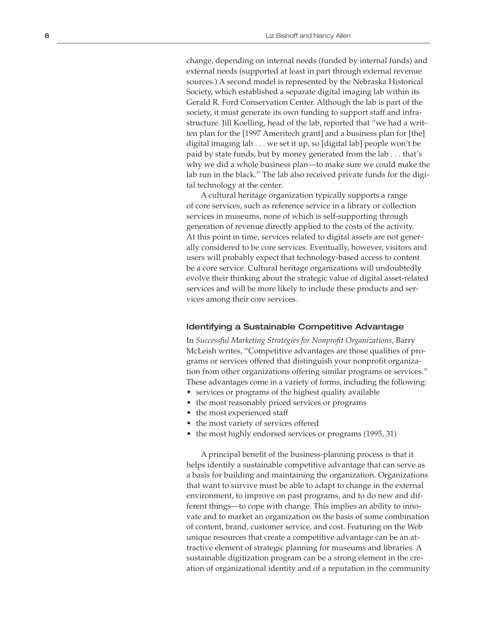change, depending on internal needs (funded by internal funds) and external needs (supported at least in part through external revenue sources.) A second model is represented by the Nebraska Historical Society, which established a separate digital imaging lab within its Gerald R. Ford Conservation Center. Although the lab is part of the society, it must generate its own funding to support staff and infra structure. Jill Koelling, head of the lab, reported that "we had a writ ten plan for the [1997 Ameritech grant] and a business plan for [the] digital imaging lab . . . we set it up, so [digital lab] people won't be paid by state funds, but by money generated from the lab . . . that's why we did a whole business plan—to make sure we could make the lab run in the black." The lab also received private funds for the digi tal technology at the center.

A cultural heritage organization typically supports a range of core services, such as reference service in a library or collection services in museums, none of which is self-supporting through generation of revenue directly applied to the costs of the activity. At this point in time, services related to digital assets are not gener ally considered to be core services. Eventually, however, visitors and users will probably expect that technology-based access to content be a core service. Cultural heritage organizations will undoubtedly evolve their thinking about the strategic value of digital asset-related services and will be more likely to include these products and ser vices among their core services.

#### Identifying a Sustainable Competitive Advantage

In *Successful Marketing Strategies for Nonprofit Organizations*, Barry McLeish writes, "Competitive advantages are those qualities of pro grams or services offered that distinguish your nonprofit organiza tion from other organizations offering similar programs or services." These advantages come in a variety of forms, including the following:<br>
• services or programs of the highest quality available<br>
• the most reasonably priced services or programs<br>
• the most experienced staff<br>
• the most va

- 
- 
- 
- 
- 

A principal benefit of the business-planning process is that it helps identify a sustainable competitive advantage that can serve as a basis for building and maintaining the organization. Organizations that want to survive must be able to adapt to change in the external environment, to improve on past programs, and to do new and dif ferent things—to cope with change. This implies an ability to inno vate and to market an organization on the basis of some combination of content, brand, customer service, and cost. Featuring on the Web unique resources that create a competitive advantage can be an at tractive element of strategic planning for museums and libraries. A sustainable digitization program can be a strong element in the cre ation of organizational identity and of a reputation in the community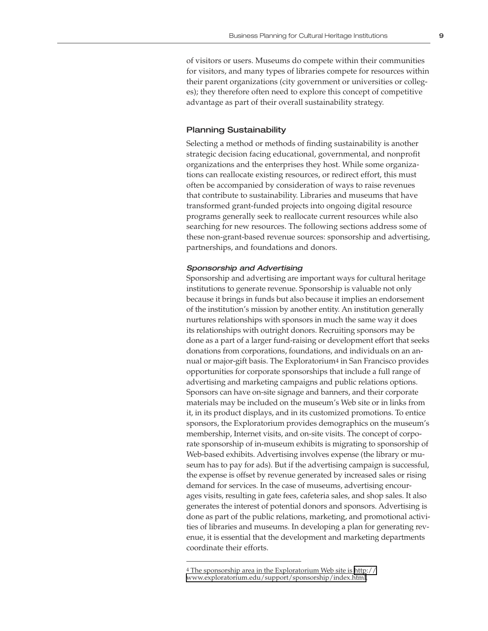of visitors or users. Museums do compete within their communities for visitors, and many types of libraries compete for resources within their parent organizations (city government or universities or colleges); they therefore often need to explore this concept of competitive advantage as part of their overall sustainability strategy.

#### Planning Sustainability

Selecting a method or methods of finding sustainability is another strategic decision facing educational, governmental, and nonprofit organizations and the enterprises they host. While some organizations can reallocate existing resources, or redirect effort, this must often be accompanied by consideration of ways to raise revenues that contribute to sustainability. Libraries and museums that have transformed grant-funded projects into ongoing digital resource programs generally seek to reallocate current resources while also searching for new resources. The following sections address some of these non-grant-based revenue sources: sponsorship and advertising, partnerships, and foundations and donors.

#### Sponsorship and Advertising

Sponsorship and advertising are important ways for cultural heritage institutions to generate revenue. Sponsorship is valuable not only because it brings in funds but also because it implies an endorsement of the institution's mission by another entity. An institution generally nurtures relationships with sponsors in much the same way it does its relationships with outright donors. Recruiting sponsors may be done as a part of a larger fund-raising or development effort that seeks donations from corporations, foundations, and individuals on an annual or major-gift basis. The Exploratorium4 in San Francisco provides opportunities for corporate sponsorships that include a full range of advertising and marketing campaigns and public relations options. Sponsors can have on-site signage and banners, and their corporate materials may be included on the museum's Web site or in links from it, in its product displays, and in its customized promotions. To entice sponsors, the Exploratorium provides demographics on the museum's membership, Internet visits, and on-site visits. The concept of corporate sponsorship of in-museum exhibits is migrating to sponsorship of Web-based exhibits. Advertising involves expense (the library or museum has to pay for ads). But if the advertising campaign is successful, the expense is offset by revenue generated by increased sales or rising demand for services. In the case of museums, advertising encourages visits, resulting in gate fees, cafeteria sales, and shop sales. It also generates the interest of potential donors and sponsors. Advertising is done as part of the public relations, marketing, and promotional activities of libraries and museums. In developing a plan for generating revenue, it is essential that the development and marketing departments coordinate their efforts.

<sup>4</sup> The sponsorship area in the Exploratorium Web site is [http://](http://www.exploratorium.edu/support/sponsorship/index.html)

[www.exploratorium.edu/support/sponsorship/index.html](http://www.exploratorium.edu/support/sponsorship/index.html).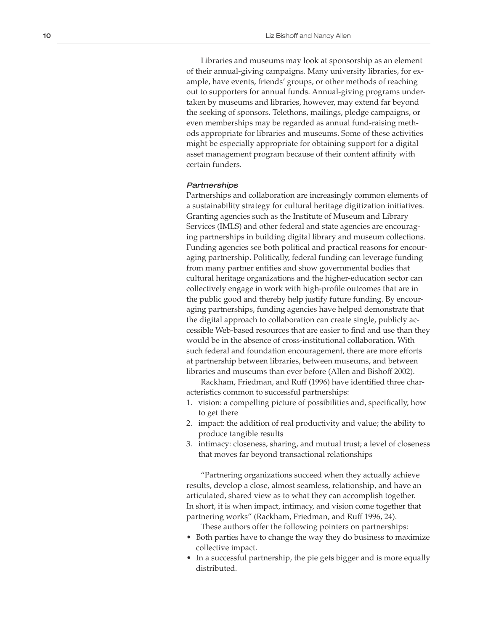Libraries and museums may look at sponsorship as an element of their annual-giving campaigns. Many university libraries, for ex ample, have events, friends' groups, or other methods of reaching out to supporters for annual funds. Annual-giving programs under taken by museums and libraries, however, may extend far beyond the seeking of sponsors. Telethons, mailings, pledge campaigns, or even memberships may be regarded as annual fund-raising meth ods appropriate for libraries and museums. Some of these activities might be especially appropriate for obtaining support for a digital asset management program because of their content affinity with certain funders.

#### **Partnerships**

Partnerships and collaboration are increasingly common elements of a sustainability strategy for cultural heritage digitization initiatives. Granting agencies such as the Institute of Museum and Library Services (IMLS) and other federal and state agencies are encourag ing partnerships in building digital library and museum collections. Funding agencies see both political and practical reasons for encour aging partnership. Politically, federal funding can leverage funding from many partner entities and show governmental bodies that cultural heritage organizations and the higher-education sector can collectively engage in work with high-profile outcomes that are in the public good and thereby help justify future funding. By encour aging partnerships, funding agencies have helped demonstrate that the digital approach to collaboration can create single, publicly ac cessible Web-based resources that are easier to find and use than they would be in the absence of cross-institutional collaboration. With such federal and foundation encouragement, there are more efforts at partnership between libraries, between museums, and between libraries and museums than ever before (Allen and Bishoff 2002).

Rackham, Friedman, and Ruff (1996) have identified three char acteristics common to successful partnerships:

- 1. vision: a compelling picture of possibilities and, specifically, how to get there
- 2. impact: the addition of real productivity and value; the ability to produce tangible results
- 3. intimacy: closeness, sharing, and mutual trust; a level of closeness that moves far beyond transactional relationships

"Partnering organizations succeed when they actually achieve results, develop a close, almost seamless, relationship, and have an articulated, shared view as to what they can accomplish together. In short, it is when impact, intimacy, and vision come together that partnering works" (Rackham, Friedman, and Ruff 1996, 24).

These authors offer the following pointers on partnerships:

- Both parties have to change the way they do business to maximize collective impact.
- In a successful partnership, the pie gets bigger and is more equally distributed.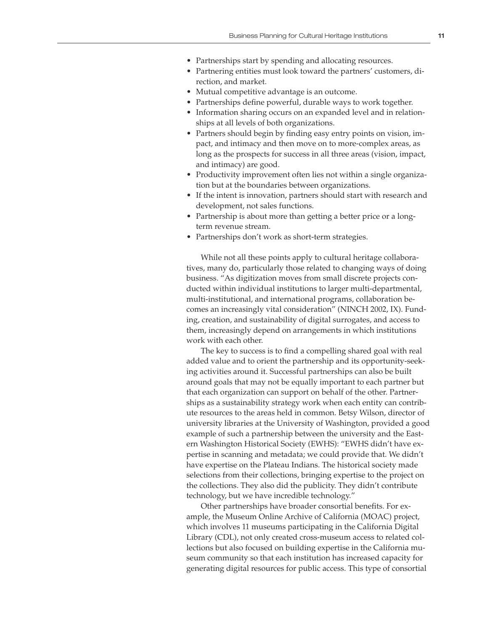- Partnerships start by spending and allocating resources.
- Partnering entities must look toward the partners' customers, direction, and market.
- Mutual competitive advantage is an outcome.
- Partnerships define powerful, durable ways to work together.
- Information sharing occurs on an expanded level and in relationships at all levels of both organizations.
- Partners should begin by finding easy entry points on vision, impact, and intimacy and then move on to more-complex areas, as long as the prospects for success in all three areas (vision, impact, and intimacy) are good.
- Productivity improvement often lies not within a single organization but at the boundaries between organizations.
- If the intent is innovation, partners should start with research and development, not sales functions.
- Partnership is about more than getting a better price or a longterm revenue stream.
- Partnerships don't work as short-term strategies.

While not all these points apply to cultural heritage collaboratives, many do, particularly those related to changing ways of doing business. "As digitization moves from small discrete projects conducted within individual institutions to larger multi-departmental, multi-institutional, and international programs, collaboration becomes an increasingly vital consideration" (NINCH 2002, IX). Funding, creation, and sustainability of digital surrogates, and access to them, increasingly depend on arrangements in which institutions work with each other.

The key to success is to find a compelling shared goal with real added value and to orient the partnership and its opportunity-seeking activities around it. Successful partnerships can also be built around goals that may not be equally important to each partner but that each organization can support on behalf of the other. Partnerships as a sustainability strategy work when each entity can contribute resources to the areas held in common. Betsy Wilson, director of university libraries at the University of Washington, provided a good example of such a partnership between the university and the Eastern Washington Historical Society (EWHS): "EWHS didn't have expertise in scanning and metadata; we could provide that. We didn't have expertise on the Plateau Indians. The historical society made selections from their collections, bringing expertise to the project on the collections. They also did the publicity. They didn't contribute technology, but we have incredible technology."

Other partnerships have broader consortial benefits. For example, the Museum Online Archive of California (MOAC) project, which involves 11 museums participating in the California Digital Library (CDL), not only created cross-museum access to related collections but also focused on building expertise in the California museum community so that each institution has increased capacity for generating digital resources for public access. This type of consortial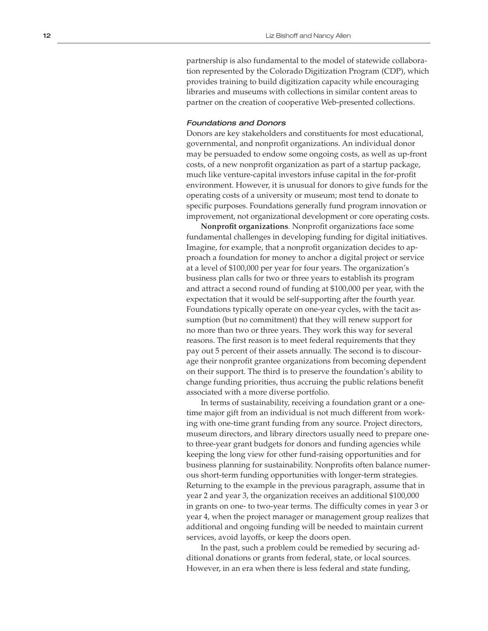partnership is also fundamental to the model of statewide collabora tion represented by the Colorado Digitization Program (CDP), which provides training to build digitization capacity while encouraging libraries and museums with collections in similar content areas to partner on the creation of cooperative Web-presented collections.

#### Foundations and Donors

Donors are key stakeholders and constituents for most educational, governmental, and nonprofit organizations. An individual donor may be persuaded to endow some ongoing costs, as well as up-front costs, of a new nonprofit organization as part of a startup package, much like venture-capital investors infuse capital in the for-profit environment. However, it is unusual for donors to give funds for the operating costs of a university or museum; most tend to donate to specific purposes. Foundations generally fund program innovation or improvement, not organizational development or core operating costs.

**Nonprofit organizations**. Nonprofit organizations face some fundamental challenges in developing funding for digital initiatives. Imagine, for example, that a nonprofit organization decides to ap proach a foundation for money to anchor a digital project or service at a level of \$100,000 per year for four years. The organization's business plan calls for two or three years to establish its program and attract a second round of funding at \$100,000 per year, with the expectation that it would be self-supporting after the fourth year. Foundations typically operate on one-year cycles, with the tacit as sumption (but no commitment) that they will renew support for no more than two or three years. They work this way for several reasons. The first reason is to meet federal requirements that they pay out 5 percent of their assets annually. The second is to discour age their nonprofit grantee organizations from becoming dependent on their support. The third is to preserve the foundation's ability to change funding priorities, thus accruing the public relations benefit associated with a more diverse portfolio.

In terms of sustainability, receiving a foundation grant or a onetime major gift from an individual is not much different from working with one-time grant funding from any source. Project directors, museum directors, and library directors usually need to prepare oneto three-year grant budgets for donors and funding agencies while keeping the long view for other fund-raising opportunities and for business planning for sustainability. Nonprofits often balance numer ous short-term funding opportunities with longer-term strategies. Returning to the example in the previous paragraph, assume that in year 2 and year 3, the organization receives an additional \$100,000 in grants on one- to two-year terms. The difficulty comes in year 3 or year 4, when the project manager or management group realizes that additional and ongoing funding will be needed to maintain current services, avoid layoffs, or keep the doors open.

In the past, such a problem could be remedied by securing ad ditional donations or grants from federal, state, or local sources. However, in an era when there is less federal and state funding,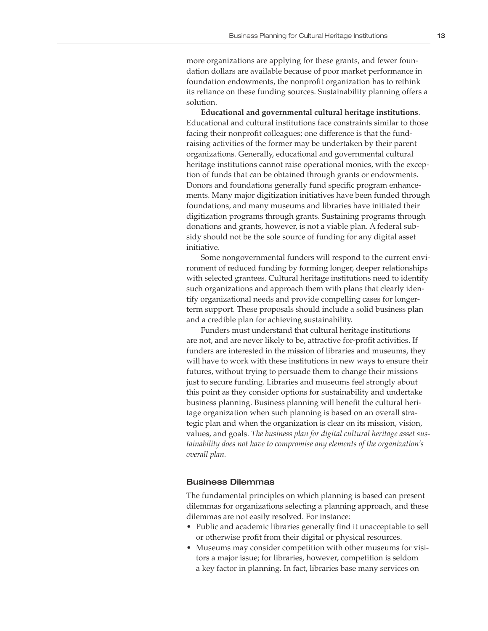more organizations are applying for these grants, and fewer foundation dollars are available because of poor market performance in foundation endowments, the nonprofit organization has to rethink its reliance on these funding sources. Sustainability planning offers a solution.

**Educational and governmental cultural heritage institutions**. Educational and cultural institutions face constraints similar to those facing their nonprofit colleagues; one difference is that the fundraising activities of the former may be undertaken by their parent organizations. Generally, educational and governmental cultural heritage institutions cannot raise operational monies, with the exception of funds that can be obtained through grants or endowments. Donors and foundations generally fund specific program enhancements. Many major digitization initiatives have been funded through foundations, and many museums and libraries have initiated their digitization programs through grants. Sustaining programs through donations and grants, however, is not a viable plan. A federal subsidy should not be the sole source of funding for any digital asset initiative.

Some nongovernmental funders will respond to the current environment of reduced funding by forming longer, deeper relationships with selected grantees. Cultural heritage institutions need to identify such organizations and approach them with plans that clearly identify organizational needs and provide compelling cases for longerterm support. These proposals should include a solid business plan and a credible plan for achieving sustainability.

Funders must understand that cultural heritage institutions are not, and are never likely to be, attractive for-profit activities. If funders are interested in the mission of libraries and museums, they will have to work with these institutions in new ways to ensure their futures, without trying to persuade them to change their missions just to secure funding. Libraries and museums feel strongly about this point as they consider options for sustainability and undertake business planning. Business planning will benefit the cultural heritage organization when such planning is based on an overall strategic plan and when the organization is clear on its mission, vision, values, and goals. *The business plan for digital cultural heritage asset sustainability does not have to compromise any elements of the organization's overall plan.*

#### Business Dilemmas

The fundamental principles on which planning is based can present dilemmas for organizations selecting a planning approach, and these dilemmas are not easily resolved. For instance:

- Public and academic libraries generally find it unacceptable to sell or otherwise profit from their digital or physical resources.
- Museums may consider competition with other museums for visitors a major issue; for libraries, however, competition is seldom a key factor in planning. In fact, libraries base many services on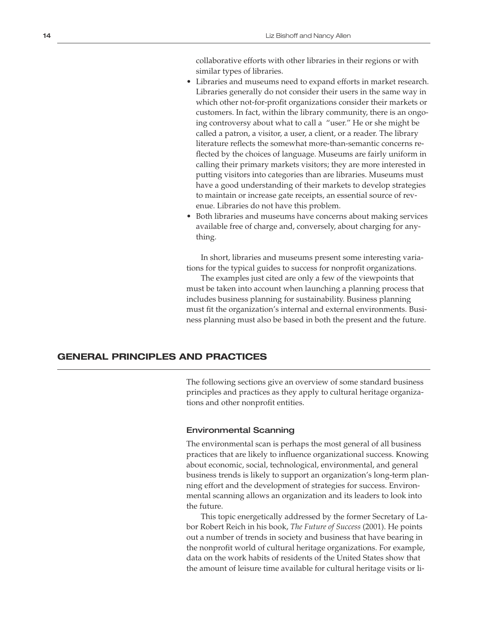collaborative efforts with other libraries in their regions or with similar types of libraries.

- Libraries and museums need to expand efforts in market research. Libraries generally do not consider their users in the same way in which other not-for-profit organizations consider their markets or customers. In fact, within the library community, there is an ongoing controversy about what to call a "user." He or she might be called a patron, a visitor, a user, a client, or a reader. The library literature reflects the somewhat more-than-semantic concerns reflected by the choices of language. Museums are fairly uniform in calling their primary markets visitors; they are more interested in putting visitors into categories than are libraries. Museums must have a good understanding of their markets to develop strategies to maintain or increase gate receipts, an essential source of revenue. Libraries do not have this problem.
- Both libraries and museums have concerns about making services available free of charge and, conversely, about charging for anything.

In short, libraries and museums present some interesting variations for the typical guides to success for nonprofit organizations.

The examples just cited are only a few of the viewpoints that must be taken into account when launching a planning process that includes business planning for sustainability. Business planning must fit the organization's internal and external environments. Business planning must also be based in both the present and the future.

### **GENERAL PRINCIPLES AND PRACTICES**

The following sections give an overview of some standard business principles and practices as they apply to cultural heritage organizations and other nonprofit entities.

#### Environmental Scanning

The environmental scan is perhaps the most general of all business practices that are likely to influence organizational success. Knowing about economic, social, technological, environmental, and general business trends is likely to support an organization's long-term planning effort and the development of strategies for success. Environmental scanning allows an organization and its leaders to look into the future.

This topic energetically addressed by the former Secretary of Labor Robert Reich in his book, *The Future of Success* (2001). He points out a number of trends in society and business that have bearing in the nonprofit world of cultural heritage organizations. For example, data on the work habits of residents of the United States show that the amount of leisure time available for cultural heritage visits or li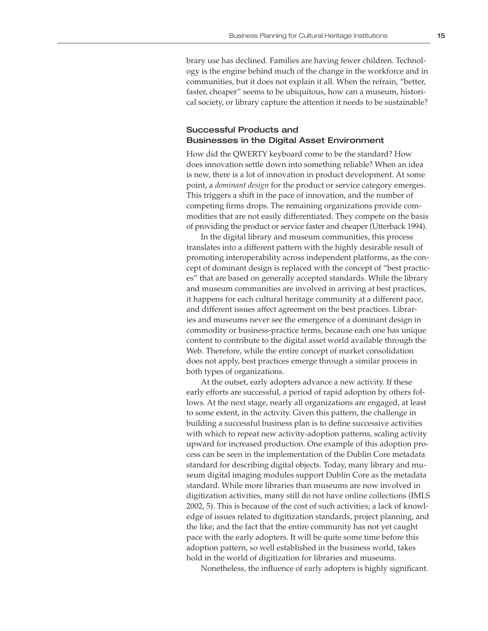brary use has declined. Families are having fewer children. Technology is the engine behind much of the change in the workforce and in communities, but it does not explain it all. When the refrain, "better, faster, cheaper" seems to be ubiquitous, how can a museum, historical society, or library capture the attention it needs to be sustainable?

### Successful Products and Businesses in the Digital Asset Environment

How did the QWERTY keyboard come to be the standard? How does innovation settle down into something reliable? When an idea is new, there is a lot of innovation in product development. At some point, a *dominant design* for the product or service category emerges. This triggers a shift in the pace of innovation, and the number of competing firms drops. The remaining organizations provide commodities that are not easily differentiated. They compete on the basis of providing the product or service faster and cheaper (Utterback 1994).

In the digital library and museum communities, this process translates into a different pattern with the highly desirable result of promoting interoperability across independent platforms, as the concept of dominant design is replaced with the concept of "best practices" that are based on generally accepted standards. While the library and museum communities are involved in arriving at best practices, it happens for each cultural heritage community at a different pace, and different issues affect agreement on the best practices. Libraries and museums never see the emergence of a dominant design in commodity or business-practice terms, because each one has unique content to contribute to the digital asset world available through the Web. Therefore, while the entire concept of market consolidation does not apply, best practices emerge through a similar process in both types of organizations.

At the outset, early adopters advance a new activity. If these early efforts are successful, a period of rapid adoption by others follows. At the next stage, nearly all organizations are engaged, at least to some extent, in the activity. Given this pattern, the challenge in building a successful business plan is to define successive activities with which to repeat new activity-adoption patterns, scaling activity upward for increased production. One example of this adoption process can be seen in the implementation of the Dublin Core metadata standard for describing digital objects. Today, many library and museum digital imaging modules support Dublin Core as the metadata standard. While more libraries than museums are now involved in digitization activities, many still do not have online collections (IMLS 2002, 5). This is because of the cost of such activities; a lack of knowledge of issues related to digitization standards, project planning, and the like; and the fact that the entire community has not yet caught pace with the early adopters. It will be quite some time before this adoption pattern, so well established in the business world, takes hold in the world of digitization for libraries and museums.

Nonetheless, the influence of early adopters is highly significant.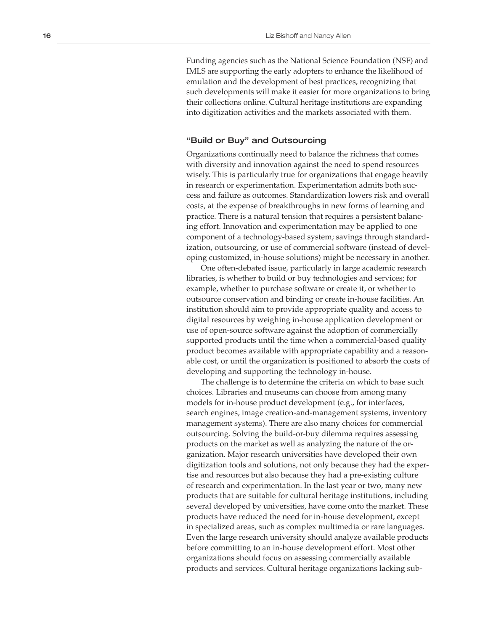Funding agencies such as the National Science Foundation (NSF) and IMLS are supporting the early adopters to enhance the likelihood of emulation and the development of best practices, recognizing that such developments will make it easier for more organizations to bring their collections online. Cultural heritage institutions are expanding into digitization activities and the markets associated with them.

#### "Build or Buy" and Outsourcing

Organizations continually need to balance the richness that comes with diversity and innovation against the need to spend resources wisely. This is particularly true for organizations that engage heavily in research or experimentation. Experimentation admits both suc cess and failure as outcomes. Standardization lowers risk and overall costs, at the expense of breakthroughs in new forms of learning and practice. There is a natural tension that requires a persistent balanc ing effort. Innovation and experimentation may be applied to one component of a technology-based system; savings through standard ization, outsourcing, or use of commercial software (instead of devel oping customized, in-house solutions) might be necessary in another.

One often-debated issue, particularly in large academic research libraries, is whether to build or buy technologies and services; for example, whether to purchase software or create it, or whether to outsource conservation and binding or create in-house facilities. An institution should aim to provide appropriate quality and access to digital resources by weighing in-house application development or use of open-source software against the adoption of commercially supported products until the time when a commercial-based quality product becomes available with appropriate capability and a reason able cost, or until the organization is positioned to absorb the costs of developing and supporting the technology in-house.

The challenge is to determine the criteria on which to base such choices. Libraries and museums can choose from among many models for in-house product development (e.g., for interfaces, search engines, image creation-and-management systems, inventory management systems). There are also many choices for commercial outsourcing. Solving the build-or-buy dilemma requires assessing products on the market as well as analyzing the nature of the or ganization. Major research universities have developed their own digitization tools and solutions, not only because they had the exper tise and resources but also because they had a pre-existing culture of research and experimentation. In the last year or two, many new products that are suitable for cultural heritage institutions, including several developed by universities, have come onto the market. These products have reduced the need for in-house development, except in specialized areas, such as complex multimedia or rare languages. Even the large research university should analyze available products before committing to an in-house development effort. Most other organizations should focus on assessing commercially available products and services. Cultural heritage organizations lacking sub -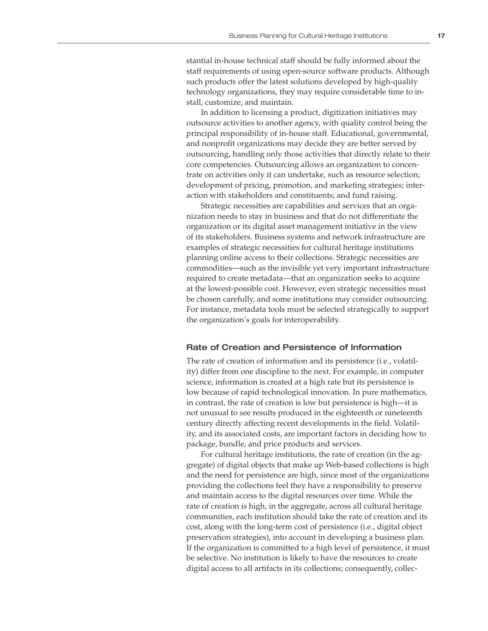stantial in-house technical staff should be fully informed about the staff requirements of using open-source software products. Although such products offer the latest solutions developed by high-quality technology organizations, they may require considerable time to install, customize, and maintain.

In addition to licensing a product, digitization initiatives may outsource activities to another agency, with quality control being the principal responsibility of in-house staff. Educational, governmental, and nonprofit organizations may decide they are better served by outsourcing, handling only those activities that directly relate to their core competencies. Outsourcing allows an organization to concentrate on activities only it can undertake, such as resource selection; development of pricing, promotion, and marketing strategies; interaction with stakeholders and constituents; and fund raising.

Strategic necessities are capabilities and services that an organization needs to stay in business and that do not differentiate the organization or its digital asset management initiative in the view of its stakeholders. Business systems and network infrastructure are examples of strategic necessities for cultural heritage institutions planning online access to their collections. Strategic necessities are commodities—such as the invisible yet very important infrastructure required to create metadata—that an organization seeks to acquire at the lowest-possible cost. However, even strategic necessities must be chosen carefully, and some institutions may consider outsourcing. For instance, metadata tools must be selected strategically to support the organization's goals for interoperability.

#### Rate of Creation and Persistence of Information

The rate of creation of information and its persistence (i.e., volatility) differ from one discipline to the next. For example, in computer science, information is created at a high rate but its persistence is low because of rapid technological innovation. In pure mathematics, in contrast, the rate of creation is low but persistence is high—it is not unusual to see results produced in the eighteenth or nineteenth century directly affecting recent developments in the field. Volatility, and its associated costs, are important factors in deciding how to package, bundle, and price products and services.

For cultural heritage institutions, the rate of creation (in the aggregate) of digital objects that make up Web-based collections is high and the need for persistence are high, since most of the organizations providing the collections feel they have a responsibility to preserve and maintain access to the digital resources over time. While the rate of creation is high, in the aggregate, across all cultural heritage communities, each institution should take the rate of creation and its cost, along with the long-term cost of persistence (i.e., digital object preservation strategies), into account in developing a business plan. If the organization is committed to a high level of persistence, it must be selective. No institution is likely to have the resources to create digital access to all artifacts in its collections; consequently, collec-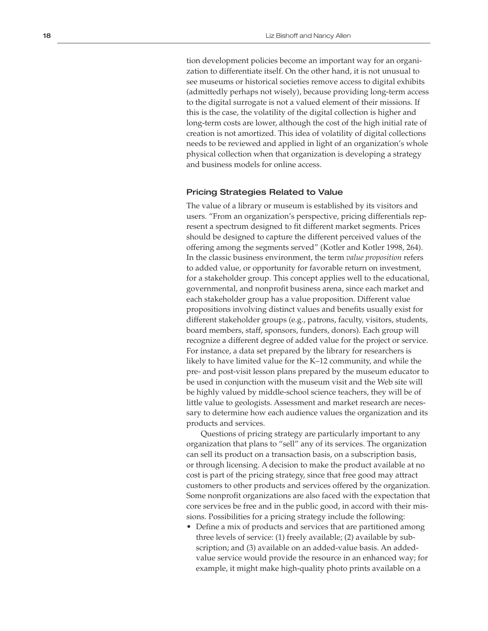tion development policies become an important way for an organi zation to differentiate itself. On the other hand, it is not unusual to see museums or historical societies remove access to digital exhibits (admittedly perhaps not wisely), because providing long-term access to the digital surrogate is not a valued element of their missions. If this is the case, the volatility of the digital collection is higher and long-term costs are lower, although the cost of the high initial rate of creation is not amortized. This idea of volatility of digital collections needs to be reviewed and applied in light of an organization's whole physical collection when that organization is developing a strategy and business models for online access.

#### Pricing Strategies Related to Value

The value of a library or museum is established by its visitors and users. "From an organization's perspective, pricing differentials rep resent a spectrum designed to fit different market segments. Prices should be designed to capture the different perceived values of the offering among the segments served" (Kotler and Kotler 1998, 264). In the classic business environment, the term *value proposition* refers to added value, or opportunity for favorable return on investment, for a stakeholder group. This concept applies well to the educational, governmental, and nonprofit business arena, since each market and each stakeholder group has a value proposition. Different value propositions involving distinct values and benefits usually exist for different stakeholder groups (e.g., patrons, faculty, visitors, students, board members, staff, sponsors, funders, donors). Each group will recognize a different degree of added value for the project or service. For instance, a data set prepared by the library for researchers is likely to have limited value for the K–12 community, and while the pre- and post-visit lesson plans prepared by the museum educator to be used in conjunction with the museum visit and the Web site will be highly valued by middle-school science teachers, they will be of little value to geologists. Assessment and market research are neces sary to determine how each audience values the organization and its products and services.

Questions of pricing strategy are particularly important to any organization that plans to "sell" any of its services. The organization can sell its product on a transaction basis, on a subscription basis, or through licensing. A decision to make the product available at no cost is part of the pricing strategy, since that free good may attract customers to other products and services offered by the organization. Some nonprofit organizations are also faced with the expectation that core services be free and in the public good, in accord with their mis sions. Possibilities for a pricing strategy include the following: • Define a mix of products and services that are partitioned among

three levels of service: (1) freely available; (2) available by sub scription; and (3) available on an added-value basis. An addedvalue service would provide the resource in an enhanced way; for example, it might make high-quality photo prints available on a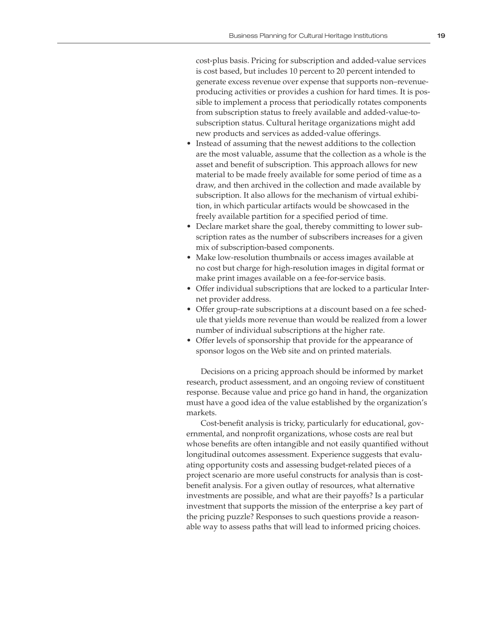cost-plus basis. Pricing for subscription and added-value services is cost based, but includes 10 percent to 20 percent intended to generate excess revenue over expense that supports non–revenueproducing activities or provides a cushion for hard times. It is possible to implement a process that periodically rotates components from subscription status to freely available and added-value-tosubscription status. Cultural heritage organizations might add new products and services as added-value offerings.

- Instead of assuming that the newest additions to the collection are the most valuable, assume that the collection as a whole is the asset and benefit of subscription. This approach allows for new material to be made freely available for some period of time as a draw, and then archived in the collection and made available by subscription. It also allows for the mechanism of virtual exhibition, in which particular artifacts would be showcased in the freely available partition for a specified period of time.
- Declare market share the goal, thereby committing to lower subscription rates as the number of subscribers increases for a given mix of subscription-based components.
- Make low-resolution thumbnails or access images available at no cost but charge for high-resolution images in digital format or make print images available on a fee-for-service basis.
- Offer individual subscriptions that are locked to a particular Internet provider address.
- Offer group-rate subscriptions at a discount based on a fee schedule that yields more revenue than would be realized from a lower number of individual subscriptions at the higher rate.
- Offer levels of sponsorship that provide for the appearance of sponsor logos on the Web site and on printed materials.

Decisions on a pricing approach should be informed by market research, product assessment, and an ongoing review of constituent response. Because value and price go hand in hand, the organization must have a good idea of the value established by the organization's markets.

Cost-benefit analysis is tricky, particularly for educational, governmental, and nonprofit organizations, whose costs are real but whose benefits are often intangible and not easily quantified without longitudinal outcomes assessment. Experience suggests that evaluating opportunity costs and assessing budget-related pieces of a project scenario are more useful constructs for analysis than is costbenefit analysis. For a given outlay of resources, what alternative investments are possible, and what are their payoffs? Is a particular investment that supports the mission of the enterprise a key part of the pricing puzzle? Responses to such questions provide a reasonable way to assess paths that will lead to informed pricing choices.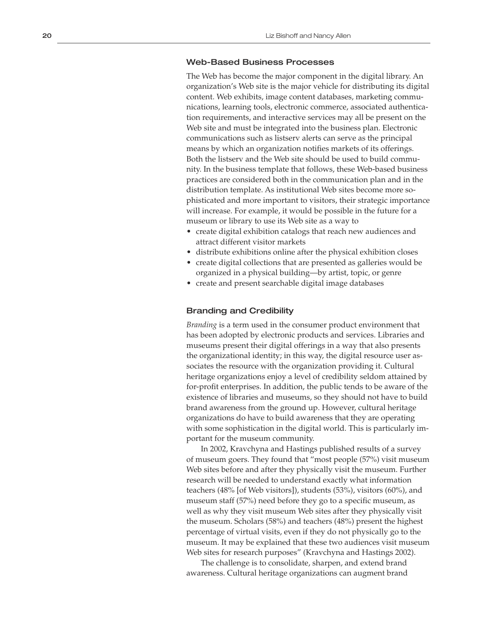#### Web-Based Business Processes

The Web has become the major component in the digital library. An organization's Web site is the major vehicle for distributing its digital content. Web exhibits, image content databases, marketing commu nications, learning tools, electronic commerce, associated authentica tion requirements, and interactive services may all be present on the Web site and must be integrated into the business plan. Electronic communications such as listserv alerts can serve as the principal means by which an organization notifies markets of its offerings. Both the listserv and the Web site should be used to build commu nity. In the business template that follows, these Web-based business practices are considered both in the communication plan and in the distribution template. As institutional Web sites become more so phisticated and more important to visitors, their strategic importance will increase. For example, it would be possible in the future for a

- museum or library to use its Web site as a way to<br>• create digital exhibition catalogs that reach new audiences and attract different visitor markets
- distribute exhibitions online after the physical exhibition closes
- create digital collections that are presented as galleries would be organized in a physical building—by artist, topic, or genre
- create and present searchable digital image databases

#### Branding and Credibility

*Branding* is a term used in the consumer product environment that has been adopted by electronic products and services. Libraries and museums present their digital offerings in a way that also presents the organizational identity; in this way, the digital resource user as sociates the resource with the organization providing it. Cultural heritage organizations enjoy a level of credibility seldom attained by for-profit enterprises. In addition, the public tends to be aware of the existence of libraries and museums, so they should not have to build brand awareness from the ground up. However, cultural heritage organizations do have to build awareness that they are operating with some sophistication in the digital world. This is particularly im portant for the museum community.

In 2002, Kravchyna and Hastings published results of a survey of museum goers. They found that "most people (57%) visit museum Web sites before and after they physically visit the museum. Further research will be needed to understand exactly what information teachers (48% [of Web visitors]), students (53%), visitors (60%), and museum staff (57%) need before they go to a specific museum, as well as why they visit museum Web sites after they physically visit the museum. Scholars (58%) and teachers (48%) present the highest percentage of virtual visits, even if they do not physically go to the museum. It may be explained that these two audiences visit museum Web sites for research purposes" (Kravchyna and Hastings 2002).

The challenge is to consolidate, sharpen, and extend brand awareness. Cultural heritage organizations can augment brand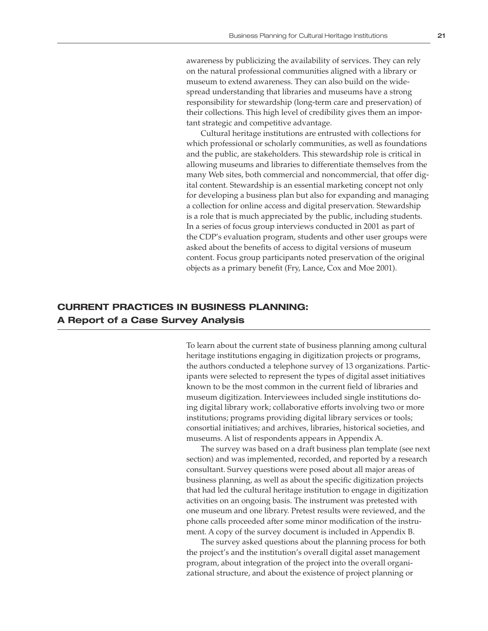awareness by publicizing the availability of services. They can rely on the natural professional communities aligned with a library or museum to extend awareness. They can also build on the widespread understanding that libraries and museums have a strong responsibility for stewardship (long-term care and preservation) of their collections. This high level of credibility gives them an important strategic and competitive advantage.

Cultural heritage institutions are entrusted with collections for which professional or scholarly communities, as well as foundations and the public, are stakeholders. This stewardship role is critical in allowing museums and libraries to differentiate themselves from the many Web sites, both commercial and noncommercial, that offer digital content. Stewardship is an essential marketing concept not only for developing a business plan but also for expanding and managing a collection for online access and digital preservation. Stewardship is a role that is much appreciated by the public, including students. In a series of focus group interviews conducted in 2001 as part of the CDP's evaluation program, students and other user groups were asked about the benefits of access to digital versions of museum content. Focus group participants noted preservation of the original objects as a primary benefit (Fry, Lance, Cox and Moe 2001).

## **CURRENT PRACTICES IN BUSINESS PLANNING: A Report of a Case Survey Analysis**

To learn about the current state of business planning among cultural heritage institutions engaging in digitization projects or programs, the authors conducted a telephone survey of 13 organizations. Participants were selected to represent the types of digital asset initiatives known to be the most common in the current field of libraries and museum digitization. Interviewees included single institutions doing digital library work; collaborative efforts involving two or more institutions; programs providing digital library services or tools; consortial initiatives; and archives, libraries, historical societies, and museums. A list of respondents appears in Appendix A.

The survey was based on a draft business plan template (see next section) and was implemented, recorded, and reported by a research consultant. Survey questions were posed about all major areas of business planning, as well as about the specific digitization projects that had led the cultural heritage institution to engage in digitization activities on an ongoing basis. The instrument was pretested with one museum and one library. Pretest results were reviewed, and the phone calls proceeded after some minor modification of the instrument. A copy of the survey document is included in Appendix B.

The survey asked questions about the planning process for both the project's and the institution's overall digital asset management program, about integration of the project into the overall organizational structure, and about the existence of project planning or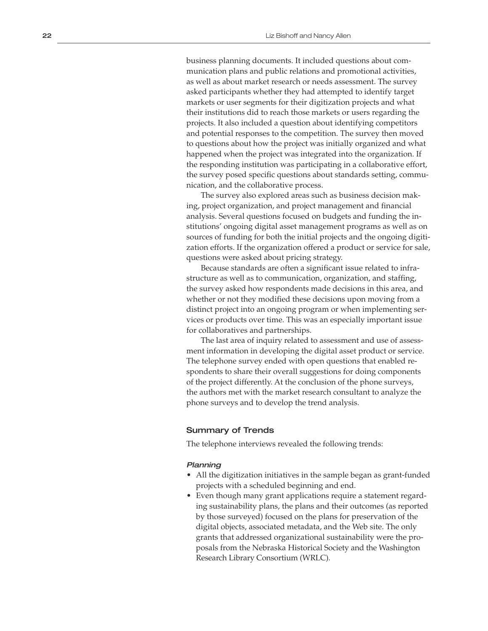business planning documents. It included questions about com munication plans and public relations and promotional activities, as well as about market research or needs assessment. The survey asked participants whether they had attempted to identify target markets or user segments for their digitization projects and what their institutions did to reach those markets or users regarding the projects. It also included a question about identifying competitors and potential responses to the competition. The survey then moved to questions about how the project was initially organized and what happened when the project was integrated into the organization. If the responding institution was participating in a collaborative effort, the survey posed specific questions about standards setting, commu nication, and the collaborative process.

The survey also explored areas such as business decision mak ing, project organization, and project management and financial analysis. Several questions focused on budgets and funding the in stitutions' ongoing digital asset management programs as well as on sources of funding for both the initial projects and the ongoing digiti zation efforts. If the organization offered a product or service for sale, questions were asked about pricing strategy.

Because standards are often a significant issue related to infra structure as well as to communication, organization, and staffing, the survey asked how respondents made decisions in this area, and whether or not they modified these decisions upon moving from a distinct project into an ongoing program or when implementing ser vices or products over time. This was an especially important issue for collaboratives and partnerships.

The last area of inquiry related to assessment and use of assess ment information in developing the digital asset product or service. The telephone survey ended with open questions that enabled re spondents to share their overall suggestions for doing components of the project differently. At the conclusion of the phone surveys, the authors met with the market research consultant to analyze the phone surveys and to develop the trend analysis.

#### Summary of Trends

The telephone interviews revealed the following trends:

#### Planning

- All the digitization initiatives in the sample began as grant-funded projects with a scheduled beginning and end.
- Even though many grant applications require a statement regard ing sustainability plans, the plans and their outcomes (as reported by those surveyed) focused on the plans for preservation of the digital objects, associated metadata, and the Web site. The only grants that addressed organizational sustainability were the pro posals from the Nebraska Historical Society and the Washington Research Library Consortium (WRLC).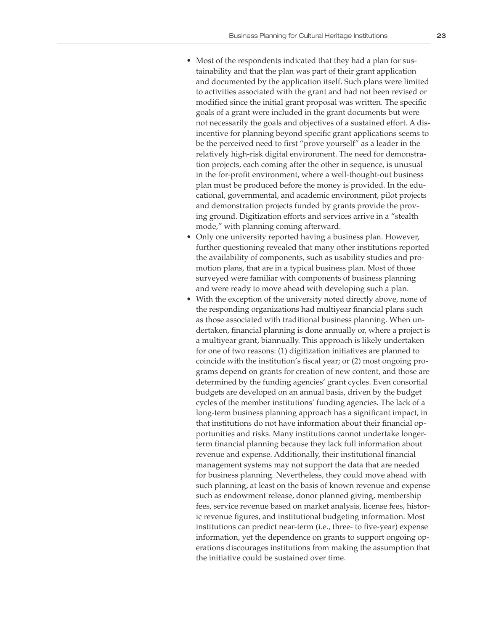- Most of the respondents indicated that they had a plan for sustainability and that the plan was part of their grant application and documented by the application itself. Such plans were limited to activities associated with the grant and had not been revised or modified since the initial grant proposal was written. The specific goals of a grant were included in the grant documents but were not necessarily the goals and objectives of a sustained effort. A disincentive for planning beyond specific grant applications seems to be the perceived need to first "prove yourself" as a leader in the relatively high-risk digital environment. The need for demonstration projects, each coming after the other in sequence, is unusual in the for-profit environment, where a well-thought-out business plan must be produced before the money is provided. In the educational, governmental, and academic environment, pilot projects and demonstration projects funded by grants provide the proving ground. Digitization efforts and services arrive in a "stealth mode," with planning coming afterward.
- Only one university reported having a business plan. However, further questioning revealed that many other institutions reported the availability of components, such as usability studies and promotion plans, that are in a typical business plan. Most of those surveyed were familiar with components of business planning and were ready to move ahead with developing such a plan.
- With the exception of the university noted directly above, none of the responding organizations had multiyear financial plans such as those associated with traditional business planning. When undertaken, financial planning is done annually or, where a project is a multiyear grant, biannually. This approach is likely undertaken for one of two reasons: (1) digitization initiatives are planned to coincide with the institution's fiscal year; or (2) most ongoing programs depend on grants for creation of new content, and those are determined by the funding agencies' grant cycles. Even consortial budgets are developed on an annual basis, driven by the budget cycles of the member institutions' funding agencies. The lack of a long-term business planning approach has a significant impact, in that institutions do not have information about their financial opportunities and risks. Many institutions cannot undertake longerterm financial planning because they lack full information about revenue and expense. Additionally, their institutional financial management systems may not support the data that are needed for business planning. Nevertheless, they could move ahead with such planning, at least on the basis of known revenue and expense such as endowment release, donor planned giving, membership fees, service revenue based on market analysis, license fees, historic revenue figures, and institutional budgeting information. Most institutions can predict near-term (i.e., three- to five-year) expense information, yet the dependence on grants to support ongoing operations discourages institutions from making the assumption that the initiative could be sustained over time.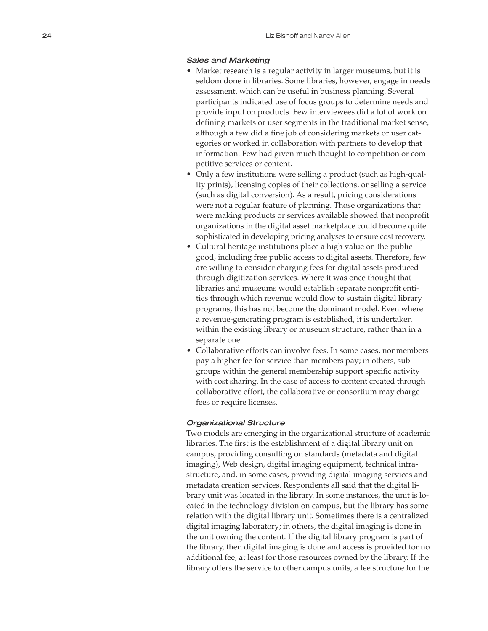#### Sales and Marketing

- Market research is a regular activity in larger museums, but it is seldom done in libraries. Some libraries, however, engage in needs assessment, which can be useful in business planning. Several participants indicated use of focus groups to determine needs and provide input on products. Few interviewees did a lot of work on defining markets or user segments in the traditional market sense, although a few did a fine job of considering markets or user cat egories or worked in collaboration with partners to develop that information. Few had given much thought to competition or com petitive services or content.
- Only a few institutions were selling a product (such as high-quality prints), licensing copies of their collections, or selling a service (such as digital conversion). As a result, pricing considerations were not a regular feature of planning. Those organizations that were making products or services available showed that nonprofit organizations in the digital asset marketplace could become quite sophisticated in developing pricing analyses to ensure cost recovery.
- Cultural heritage institutions place a high value on the public good, including free public access to digital assets. Therefore, few are willing to consider charging fees for digital assets produced through digitization services. Where it was once thought that libraries and museums would establish separate nonprofit enti ties through which revenue would flow to sustain digital library programs, this has not become the dominant model. Even where a revenue-generating program is established, it is undertaken within the existing library or museum structure, rather than in a separate one.
- Collaborative efforts can involve fees. In some cases, nonmembers pay a higher fee for service than members pay; in others, sub groups within the general membership support specific activity with cost sharing. In the case of access to content created through collaborative effort, the collaborative or consortium may charge fees or require licenses.

#### Organizational Structure

Two models are emerging in the organizational structure of academic libraries. The first is the establishment of a digital library unit on campus, providing consulting on standards (metadata and digital imaging), Web design, digital imaging equipment, technical infra structure, and, in some cases, providing digital imaging services and metadata creation services. Respondents all said that the digital li brary unit was located in the library. In some instances, the unit is lo cated in the technology division on campus, but the library has some relation with the digital library unit. Sometimes there is a centralized digital imaging laboratory; in others, the digital imaging is done in the unit owning the content. If the digital library program is part of the library, then digital imaging is done and access is provided for no additional fee, at least for those resources owned by the library. If the library offers the service to other campus units, a fee structure for the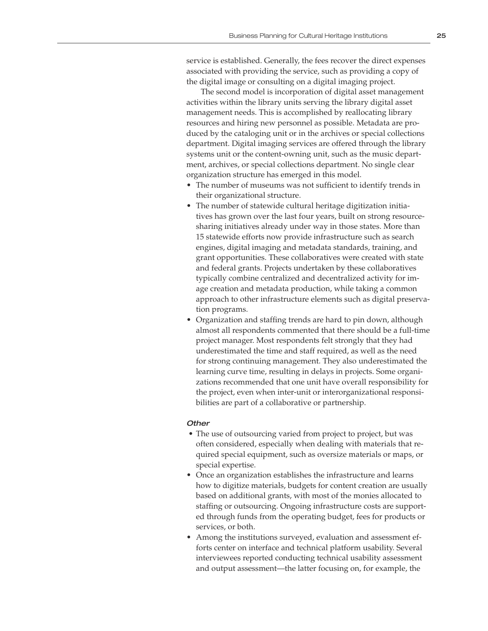service is established. Generally, the fees recover the direct expenses associated with providing the service, such as providing a copy of the digital image or consulting on a digital imaging project.

The second model is incorporation of digital asset management activities within the library units serving the library digital asset management needs. This is accomplished by reallocating library resources and hiring new personnel as possible. Metadata are produced by the cataloging unit or in the archives or special collections department. Digital imaging services are offered through the library systems unit or the content-owning unit, such as the music department, archives, or special collections department. No single clear organization structure has emerged in this model.

- The number of museums was not sufficient to identify trends in their organizational structure.
- The number of statewide cultural heritage digitization initiatives has grown over the last four years, built on strong resourcesharing initiatives already under way in those states. More than 15 statewide efforts now provide infrastructure such as search engines, digital imaging and metadata standards, training, and grant opportunities. These collaboratives were created with state and federal grants. Projects undertaken by these collaboratives typically combine centralized and decentralized activity for image creation and metadata production, while taking a common approach to other infrastructure elements such as digital preservation programs.
- Organization and staffing trends are hard to pin down, although almost all respondents commented that there should be a full-time project manager. Most respondents felt strongly that they had underestimated the time and staff required, as well as the need for strong continuing management. They also underestimated the learning curve time, resulting in delays in projects. Some organizations recommended that one unit have overall responsibility for the project, even when inter-unit or interorganizational responsibilities are part of a collaborative or partnership.

#### **Other**

- The use of outsourcing varied from project to project, but was often considered, especially when dealing with materials that required special equipment, such as oversize materials or maps, or special expertise.
- Once an organization establishes the infrastructure and learns how to digitize materials, budgets for content creation are usually based on additional grants, with most of the monies allocated to staffing or outsourcing. Ongoing infrastructure costs are supported through funds from the operating budget, fees for products or services, or both.
- Among the institutions surveyed, evaluation and assessment efforts center on interface and technical platform usability. Several interviewees reported conducting technical usability assessment and output assessment—the latter focusing on, for example, the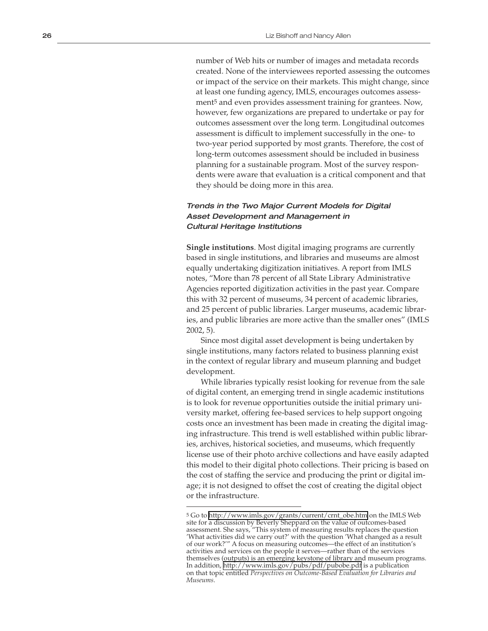number of Web hits or number of images and metadata records created. None of the interviewees reported assessing the outcomes or impact of the service on their markets. This might change, since at least one funding agency, IMLS, encourages outcomes assess ment 5 and even provides assessment training for grantees. Now, however, few organizations are prepared to undertake or pay for outcomes assessment over the long term. Longitudinal outcomes assessment is difficult to implement successfully in the one- to two-year period supported by most grants. Therefore, the cost of long-term outcomes assessment should be included in business planning for a sustainable program. Most of the survey respon dents were aware that evaluation is a critical component and that they should be doing more in this area.

### Trends in the Two Major Current Models for Digital Asset Development and Management in Cultural Heritage Institutions

**Single institutions**. Most digital imaging programs are currently based in single institutions, and libraries and museums are almost equally undertaking digitization initiatives. A report from IMLS notes, "More than 78 percent of all State Library Administrative Agencies reported digitization activities in the past year. Compare this with 32 percent of museums, 34 percent of academic libraries, and 25 percent of public libraries. Larger museums, academic librar ies, and public libraries are more active than the smaller ones" (IMLS 2002, 5).

Since most digital asset development is being undertaken by single institutions, many factors related to business planning exist in the context of regular library and museum planning and budget development.

While libraries typically resist looking for revenue from the sale of digital content, an emerging trend in single academic institutions is to look for revenue opportunities outside the initial primary uni versity market, offering fee-based services to help support ongoing costs once an investment has been made in creating the digital imag ing infrastructure. This trend is well established within public librar ies, archives, historical societies, and museums, which frequently license use of their photo archive collections and have easily adapted this model to their digital photo collections. Their pricing is based on the cost of staffing the service and producing the print or digital im age; it is not designed to offset the cost of creating the digital object or the infrastructure.

<sup>5</sup> Go to [http://www.imls.gov/grants/current/crnt\\_obe.htm](http://www.imls.gov/grants/current/crnt_obe.htm) on the IMLS Web site for a discussion by Beverly Sheppard on the value of outcomes-based assessment. She says, "This system of measuring results replaces the question 'What activities did we carry out?' with the question 'What changed as a result of our work?'" A focus on measuring outcomes—the effect of an institution's activities and services on the people it serves—rather than of the services themselves (outputs) is an emerging keystone of library and museum programs. In addition,<http://www.imls.gov/pubs/pdf/pubobe.pdf>is a publication on that topic entitled *Perspectives on Outcome-Based Evaluation for Libraries and Museums* .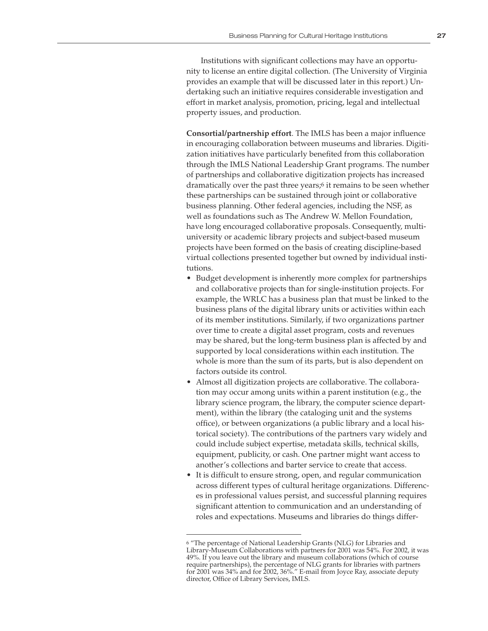Institutions with significant collections may have an opportunity to license an entire digital collection. (The University of Virginia provides an example that will be discussed later in this report.) Undertaking such an initiative requires considerable investigation and effort in market analysis, promotion, pricing, legal and intellectual property issues, and production.

**Consortial/partnership effort**. The IMLS has been a major influence in encouraging collaboration between museums and libraries. Digitization initiatives have particularly benefited from this collaboration through the IMLS National Leadership Grant programs. The number of partnerships and collaborative digitization projects has increased dramatically over the past three years;6 it remains to be seen whether these partnerships can be sustained through joint or collaborative business planning. Other federal agencies, including the NSF, as well as foundations such as The Andrew W. Mellon Foundation, have long encouraged collaborative proposals. Consequently, multiuniversity or academic library projects and subject-based museum projects have been formed on the basis of creating discipline-based virtual collections presented together but owned by individual institutions.

- Budget development is inherently more complex for partnerships and collaborative projects than for single-institution projects. For example, the WRLC has a business plan that must be linked to the business plans of the digital library units or activities within each of its member institutions. Similarly, if two organizations partner over time to create a digital asset program, costs and revenues may be shared, but the long-term business plan is affected by and supported by local considerations within each institution. The whole is more than the sum of its parts, but is also dependent on factors outside its control.
- Almost all digitization projects are collaborative. The collaboration may occur among units within a parent institution (e.g., the library science program, the library, the computer science department), within the library (the cataloging unit and the systems office), or between organizations (a public library and a local historical society). The contributions of the partners vary widely and could include subject expertise, metadata skills, technical skills, equipment, publicity, or cash. One partner might want access to another's collections and barter service to create that access.
- It is difficult to ensure strong, open, and regular communication across different types of cultural heritage organizations. Differences in professional values persist, and successful planning requires significant attention to communication and an understanding of roles and expectations. Museums and libraries do things differ-

<sup>6 &</sup>quot;The percentage of National Leadership Grants (NLG) for Libraries and Library-Museum Collaborations with partners for 2001 was 54%. For 2002, it was 49%. If you leave out the library and museum collaborations (which of course require partnerships), the percentage of NLG grants for libraries with partners for 2001 was 34% and for 2002, 36%." E-mail from Joyce Ray, associate deputy director, Office of Library Services, IMLS.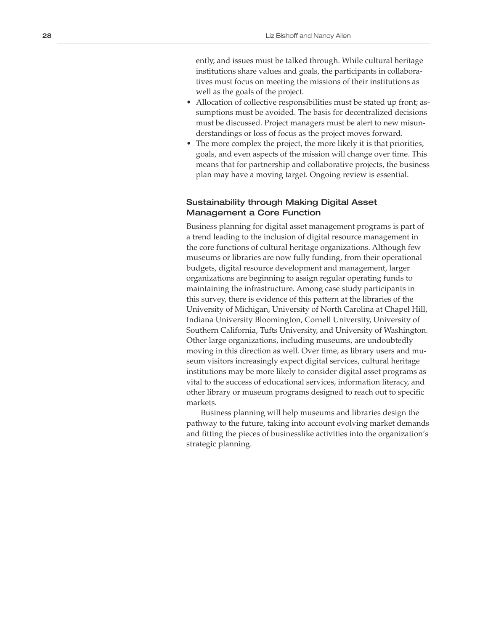ently, and issues must be talked through. While cultural heritage institutions share values and goals, the participants in collabora tives must focus on meeting the missions of their institutions as well as the goals of the project.

- Allocation of collective responsibilities must be stated up front; assumptions must be avoided. The basis for decentralized decisions must be discussed. Project managers must be alert to new misun derstandings or loss of focus as the project moves forward.
- The more complex the project, the more likely it is that priorities, goals, and even aspects of the mission will change over time. This means that for partnership and collaborative projects, the business plan may have a moving target. Ongoing review is essential.

#### Sustainability through Making Digital Asset Management a Core Function

Business planning for digital asset management programs is part of a trend leading to the inclusion of digital resource management in the core functions of cultural heritage organizations. Although few museums or libraries are now fully funding, from their operational budgets, digital resource development and management, larger organizations are beginning to assign regular operating funds to maintaining the infrastructure. Among case study participants in this survey, there is evidence of this pattern at the libraries of the University of Michigan, University of North Carolina at Chapel Hill, Indiana University Bloomington, Cornell University, University of Southern California, Tufts University, and University of Washington. Other large organizations, including museums, are undoubtedly moving in this direction as well. Over time, as library users and mu seum visitors increasingly expect digital services, cultural heritage institutions may be more likely to consider digital asset programs as vital to the success of educational services, information literacy, and other library or museum programs designed to reach out to specific markets.

Business planning will help museums and libraries design the pathway to the future, taking into account evolving market demands and fitting the pieces of businesslike activities into the organization's strategic planning.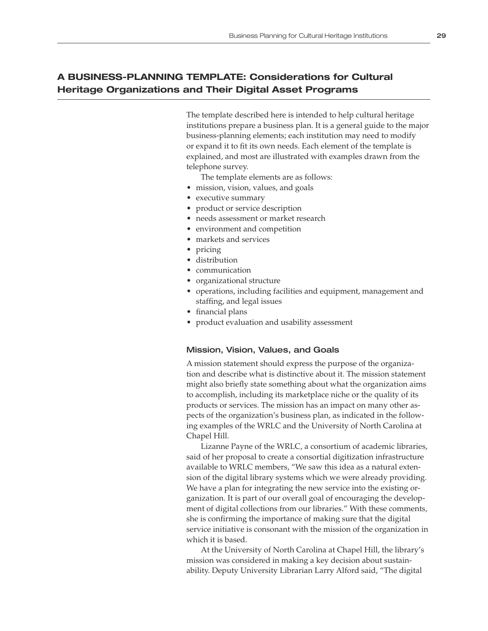## **A BUSINESS-PLANNING TEMPLATE: Considerations for Cultural Heritage Organizations and Their Digital Asset Programs**

The template described here is intended to help cultural heritage institutions prepare a business plan. It is a general guide to the major business-planning elements; each institution may need to modify or expand it to fit its own needs. Each element of the template is explained, and most are illustrated with examples drawn from the telephone survey.

The template elements are as follows:

- mission, vision, values, and goals
- executive summary
- product or service description
- needs assessment or market research
- environment and competition
- markets and services
- pricing
- distribution
- communication
- organizational structure
- operations, including facilities and equipment, management and staffing, and legal issues
- financial plans
- product evaluation and usability assessment

#### Mission, Vision, Values, and Goals

A mission statement should express the purpose of the organization and describe what is distinctive about it. The mission statement might also briefly state something about what the organization aims to accomplish, including its marketplace niche or the quality of its products or services. The mission has an impact on many other aspects of the organization's business plan, as indicated in the following examples of the WRLC and the University of North Carolina at Chapel Hill.

Lizanne Payne of the WRLC, a consortium of academic libraries, said of her proposal to create a consortial digitization infrastructure available to WRLC members, "We saw this idea as a natural extension of the digital library systems which we were already providing. We have a plan for integrating the new service into the existing organization. It is part of our overall goal of encouraging the development of digital collections from our libraries." With these comments, she is confirming the importance of making sure that the digital service initiative is consonant with the mission of the organization in which it is based.

At the University of North Carolina at Chapel Hill, the library's mission was considered in making a key decision about sustainability. Deputy University Librarian Larry Alford said, "The digital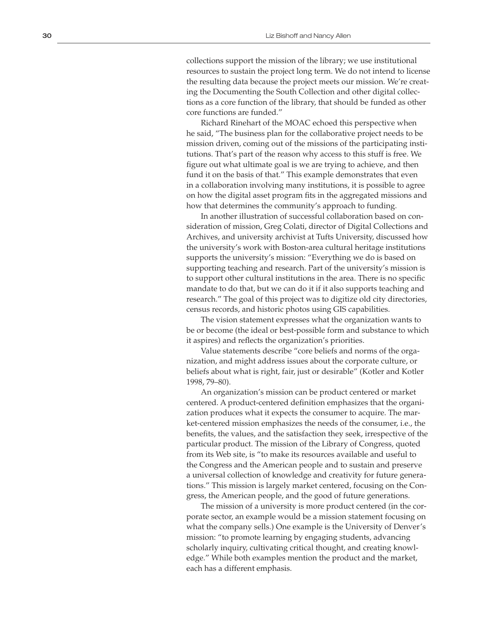collections support the mission of the library; we use institutional resources to sustain the project long term. We do not intend to license the resulting data because the project meets our mission. We're creat ing the Documenting the South Collection and other digital collec tions as a core function of the library, that should be funded as other core functions are funded."

Richard Rinehart of the MOAC echoed this perspective when he said, "The business plan for the collaborative project needs to be mission driven, coming out of the missions of the participating insti tutions. That's part of the reason why access to this stuff is free. We figure out what ultimate goal is we are trying to achieve, and then fund it on the basis of that." This example demonstrates that even in a collaboration involving many institutions, it is possible to agree on how the digital asset program fits in the aggregated missions and how that determines the community's approach to funding.

In another illustration of successful collaboration based on con sideration of mission, Greg Colati, director of Digital Collections and Archives, and university archivist at Tufts University, discussed how the university's work with Boston-area cultural heritage institutions supports the university's mission: "Everything we do is based on supporting teaching and research. Part of the university's mission is to support other cultural institutions in the area. There is no specific mandate to do that, but we can do it if it also supports teaching and research." The goal of this project was to digitize old city directories, census records, and historic photos using GIS capabilities.

The vision statement expresses what the organization wants to be or become (the ideal or best-possible form and substance to which it aspires) and reflects the organization's priorities.

Value statements describe "core beliefs and norms of the orga nization, and might address issues about the corporate culture, or beliefs about what is right, fair, just or desirable" (Kotler and Kotler 1998, 79–80).

An organization's mission can be product centered or market centered. A product-centered definition emphasizes that the organi zation produces what it expects the consumer to acquire. The mar ket-centered mission emphasizes the needs of the consumer, i.e., the benefits, the values, and the satisfaction they seek, irrespective of the particular product. The mission of the Library of Congress, quoted from its Web site, is "to make its resources available and useful to the Congress and the American people and to sustain and preserve a universal collection of knowledge and creativity for future genera tions." This mission is largely market centered, focusing on the Con gress, the American people, and the good of future generations.

The mission of a university is more product centered (in the cor porate sector, an example would be a mission statement focusing on what the company sells.) One example is the University of Denver's mission: "to promote learning by engaging students, advancing scholarly inquiry, cultivating critical thought, and creating knowl edge." While both examples mention the product and the market, each has a different emphasis.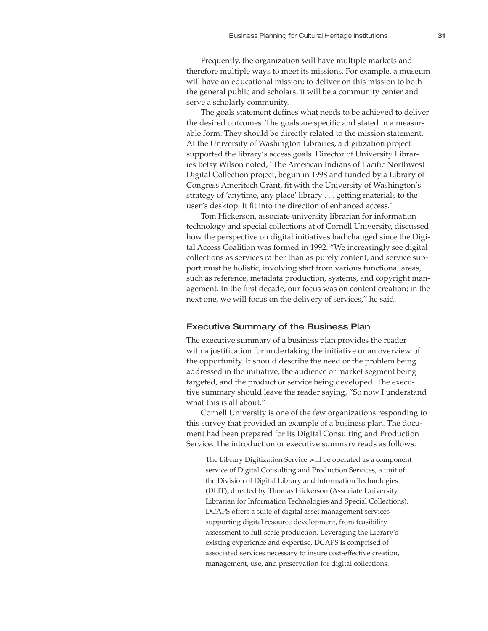Frequently, the organization will have multiple markets and therefore multiple ways to meet its missions. For example, a museum will have an educational mission; to deliver on this mission to both the general public and scholars, it will be a community center and serve a scholarly community.

The goals statement defines what needs to be achieved to deliver the desired outcomes. The goals are specific and stated in a measurable form. They should be directly related to the mission statement. At the University of Washington Libraries, a digitization project supported the library's access goals. Director of University Libraries Betsy Wilson noted, "The American Indians of Pacific Northwest Digital Collection project, begun in 1998 and funded by a Library of Congress Ameritech Grant, fit with the University of Washington's strategy of 'anytime, any place' library . . . getting materials to the user's desktop. It fit into the direction of enhanced access."

Tom Hickerson, associate university librarian for information technology and special collections at of Cornell University, discussed how the perspective on digital initiatives had changed since the Digital Access Coalition was formed in 1992. "We increasingly see digital collections as services rather than as purely content, and service support must be holistic, involving staff from various functional areas, such as reference, metadata production, systems, and copyright management. In the first decade, our focus was on content creation; in the next one, we will focus on the delivery of services," he said.

#### Executive Summary of the Business Plan

The executive summary of a business plan provides the reader with a justification for undertaking the initiative or an overview of the opportunity. It should describe the need or the problem being addressed in the initiative, the audience or market segment being targeted, and the product or service being developed. The executive summary should leave the reader saying, "So now I understand what this is all about."

Cornell University is one of the few organizations responding to this survey that provided an example of a business plan. The document had been prepared for its Digital Consulting and Production Service. The introduction or executive summary reads as follows:

The Library Digitization Service will be operated as a component service of Digital Consulting and Production Services, a unit of the Division of Digital Library and Information Technologies (DLIT), directed by Thomas Hickerson (Associate University Librarian for Information Technologies and Special Collections). DCAPS offers a suite of digital asset management services supporting digital resource development, from feasibility assessment to full-scale production. Leveraging the Library's existing experience and expertise, DCAPS is comprised of associated services necessary to insure cost-effective creation, management, use, and preservation for digital collections.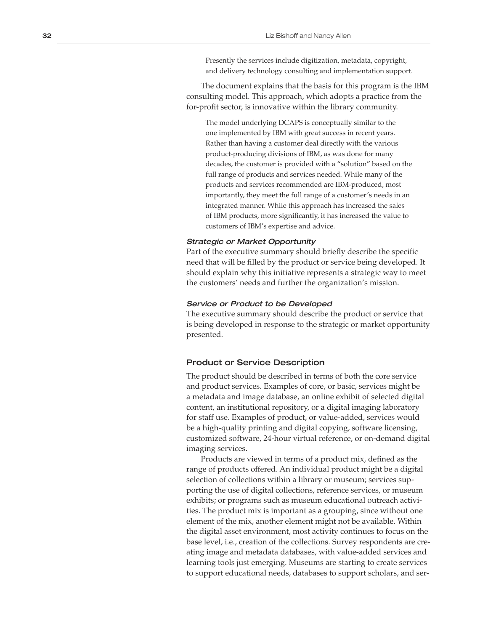Presently the services include digitization, metadata, copyright, and delivery technology consulting and implementation support.

The document explains that the basis for this program is the IBM consulting model. This approach, which adopts a practice from the for-profit sector, is innovative within the library community.

The model underlying DCAPS is conceptually similar to the one implemented by IBM with great success in recent years. Rather than having a customer deal directly with the various product-producing divisions of IBM, as was done for many decades, the customer is provided with a "solution" based on the full range of products and services needed. While many of the products and services recommended are IBM-produced, most importantly, they meet the full range of a customer's needs in an integrated manner. While this approach has increased the sales of IBM products, more significantly, it has increased the value to customers of IBM's expertise and advice.

#### Strategic or Market Opportunity

Part of the executive summary should briefly describe the specific need that will be filled by the product or service being developed. It should explain why this initiative represents a strategic way to meet the customers' needs and further the organization's mission.

#### Service or Product to be Developed

The executive summary should describe the product or service that is being developed in response to the strategic or market opportunity presented.

#### Product or Service Description

The product should be described in terms of both the core service and product services. Examples of core, or basic, services might be a metadata and image database, an online exhibit of selected digital content, an institutional repository, or a digital imaging laboratory for staff use. Examples of product, or value-added, services would be a high-quality printing and digital copying, software licensing, customized software, 24-hour virtual reference, or on-demand digital imaging services.

Products are viewed in terms of a product mix, defined as the range of products offered. An individual product might be a digital selection of collections within a library or museum; services sup porting the use of digital collections, reference services, or museum exhibits; or programs such as museum educational outreach activi ties. The product mix is important as a grouping, since without one element of the mix, another element might not be available. Within the digital asset environment, most activity continues to focus on the base level, i.e., creation of the collections. Survey respondents are cre ating image and metadata databases, with value-added services and learning tools just emerging. Museums are starting to create services to support educational needs, databases to support scholars, and ser -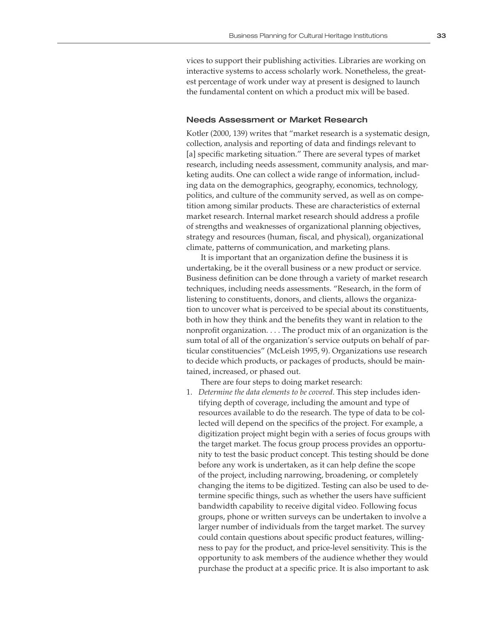vices to support their publishing activities. Libraries are working on interactive systems to access scholarly work. Nonetheless, the greatest percentage of work under way at present is designed to launch the fundamental content on which a product mix will be based.

#### Needs Assessment or Market Research

Kotler (2000, 139) writes that "market research is a systematic design, collection, analysis and reporting of data and findings relevant to [a] specific marketing situation." There are several types of market research, including needs assessment, community analysis, and marketing audits. One can collect a wide range of information, including data on the demographics, geography, economics, technology, politics, and culture of the community served, as well as on competition among similar products. These are characteristics of external market research. Internal market research should address a profile of strengths and weaknesses of organizational planning objectives, strategy and resources (human, fiscal, and physical), organizational climate, patterns of communication, and marketing plans.

It is important that an organization define the business it is undertaking, be it the overall business or a new product or service. Business definition can be done through a variety of market research techniques, including needs assessments. "Research, in the form of listening to constituents, donors, and clients, allows the organization to uncover what is perceived to be special about its constituents, both in how they think and the benefits they want in relation to the nonprofit organization. . . . The product mix of an organization is the sum total of all of the organization's service outputs on behalf of particular constituencies" (McLeish 1995, 9). Organizations use research to decide which products, or packages of products, should be maintained, increased, or phased out.

There are four steps to doing market research:

1. *Determine the data elements to be covered*. This step includes identifying depth of coverage, including the amount and type of resources available to do the research. The type of data to be collected will depend on the specifics of the project. For example, a digitization project might begin with a series of focus groups with the target market. The focus group process provides an opportunity to test the basic product concept. This testing should be done before any work is undertaken, as it can help define the scope of the project, including narrowing, broadening, or completely changing the items to be digitized. Testing can also be used to determine specific things, such as whether the users have sufficient bandwidth capability to receive digital video. Following focus groups, phone or written surveys can be undertaken to involve a larger number of individuals from the target market. The survey could contain questions about specific product features, willingness to pay for the product, and price-level sensitivity. This is the opportunity to ask members of the audience whether they would purchase the product at a specific price. It is also important to ask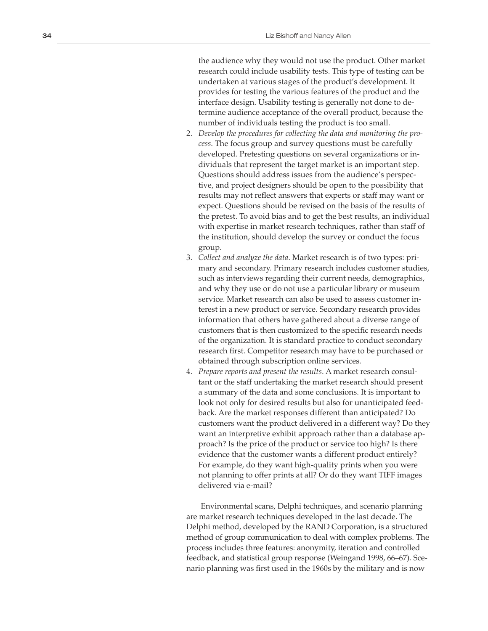the audience why they would not use the product. Other market research could include usability tests. This type of testing can be undertaken at various stages of the product's development. It provides for testing the various features of the product and the interface design. Usability testing is generally not done to de termine audience acceptance of the overall product, because the number of individuals testing the product is too small.

- 2. *Develop the procedures for collecting the data and monitoring the pro cess*. The focus group and survey questions must be carefully developed. Pretesting questions on several organizations or in dividuals that represent the target market is an important step. Questions should address issues from the audience's perspec tive, and project designers should be open to the possibility that results may not reflect answers that experts or staff may want or expect. Questions should be revised on the basis of the results of the pretest. To avoid bias and to get the best results, an individual with expertise in market research techniques, rather than staff of the institution, should develop the survey or conduct the focus group.
- 3. *Collect and analyze the data*. Market research is of two types: pri mary and secondary. Primary research includes customer studies, such as interviews regarding their current needs, demographics, and why they use or do not use a particular library or museum service. Market research can also be used to assess customer in terest in a new product or service. Secondary research provides information that others have gathered about a diverse range of customers that is then customized to the specific research needs of the organization. It is standard practice to conduct secondary research first. Competitor research may have to be purchased or obtained through subscription online services.
- 4. *Prepare reports and present the results*. A market research consul tant or the staff undertaking the market research should present a summary of the data and some conclusions. It is important to look not only for desired results but also for unanticipated feed back. Are the market responses different than anticipated? Do customers want the product delivered in a different way? Do they want an interpretive exhibit approach rather than a database ap proach? Is the price of the product or service too high? Is there evidence that the customer wants a different product entirely? For example, do they want high-quality prints when you were not planning to offer prints at all? Or do they want TIFF images delivered via e-mail?

Environmental scans, Delphi techniques, and scenario planning are market research techniques developed in the last decade. The Delphi method, developed by the RAND Corporation, is a structured method of group communication to deal with complex problems. The process includes three features: anonymity, iteration and controlled feedback, and statistical group response (Weingand 1998, 66–67). Sce nario planning was first used in the 1960s by the military and is now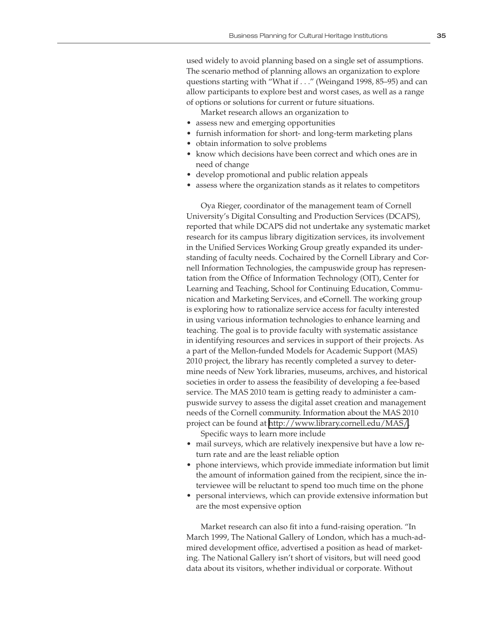used widely to avoid planning based on a single set of assumptions. The scenario method of planning allows an organization to explore questions starting with "What if . . ." (Weingand 1998, 85–95) and can allow participants to explore best and worst cases, as well as a range of options or solutions for current or future situations.

Market research allows an organization to

- assess new and emerging opportunities
- furnish information for short- and long-term marketing plans
- obtain information to solve problems
- know which decisions have been correct and which ones are in need of change
- develop promotional and public relation appeals
- assess where the organization stands as it relates to competitors

Oya Rieger, coordinator of the management team of Cornell University's Digital Consulting and Production Services (DCAPS), reported that while DCAPS did not undertake any systematic market research for its campus library digitization services, its involvement in the Unified Services Working Group greatly expanded its understanding of faculty needs. Cochaired by the Cornell Library and Cornell Information Technologies, the campuswide group has representation from the Office of Information Technology (OIT), Center for Learning and Teaching, School for Continuing Education, Communication and Marketing Services, and eCornell. The working group is exploring how to rationalize service access for faculty interested in using various information technologies to enhance learning and teaching. The goal is to provide faculty with systematic assistance in identifying resources and services in support of their projects. As a part of the Mellon-funded Models for Academic Support (MAS) 2010 project, the library has recently completed a survey to determine needs of New York libraries, museums, archives, and historical societies in order to assess the feasibility of developing a fee-based service. The MAS 2010 team is getting ready to administer a campuswide survey to assess the digital asset creation and management needs of the Cornell community. Information about the MAS 2010 project can be found at<http://www.library.cornell.edu/MAS/>.

Specific ways to learn more include

- mail surveys, which are relatively inexpensive but have a low return rate and are the least reliable option
- phone interviews, which provide immediate information but limit the amount of information gained from the recipient, since the interviewee will be reluctant to spend too much time on the phone
- personal interviews, which can provide extensive information but are the most expensive option

Market research can also fit into a fund-raising operation. "In March 1999, The National Gallery of London, which has a much-admired development office, advertised a position as head of marketing. The National Gallery isn't short of visitors, but will need good data about its visitors, whether individual or corporate. Without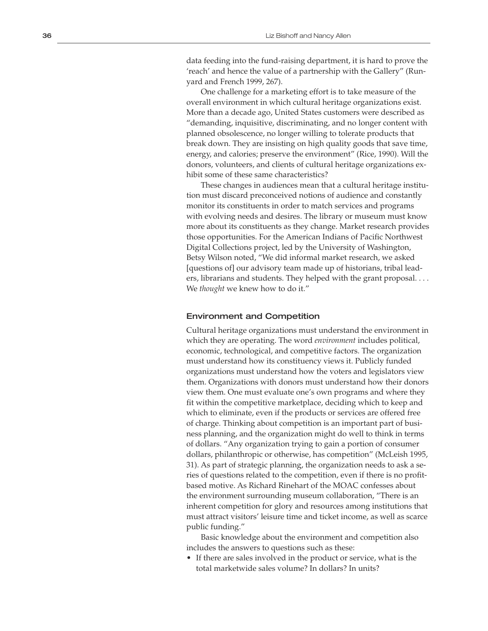data feeding into the fund-raising department, it is hard to prove the 'reach' and hence the value of a partnership with the Gallery" (Run yard and French 1999, 267).

One challenge for a marketing effort is to take measure of the overall environment in which cultural heritage organizations exist. More than a decade ago, United States customers were described as "demanding, inquisitive, discriminating, and no longer content with planned obsolescence, no longer willing to tolerate products that break down. They are insisting on high quality goods that save time, energy, and calories; preserve the environment" (Rice, 1990). Will the donors, volunteers, and clients of cultural heritage organizations ex hibit some of these same characteristics?

These changes in audiences mean that a cultural heritage institu tion must discard preconceived notions of audience and constantly monitor its constituents in order to match services and programs with evolving needs and desires. The library or museum must know more about its constituents as they change. Market research provides those opportunities. For the American Indians of Pacific Northwest Digital Collections project, led by the University of Washington, Betsy Wilson noted, "We did informal market research, we asked [questions of] our advisory team made up of historians, tribal lead ers, librarians and students. They helped with the grant proposal. . . . We *thought* we knew how to do it."

#### Environment and Competition

Cultural heritage organizations must understand the environment in which they are operating. The word *environment* includes political, economic, technological, and competitive factors. The organization must understand how its constituency views it. Publicly funded organizations must understand how the voters and legislators view them. Organizations with donors must understand how their donors view them. One must evaluate one's own programs and where they fit within the competitive marketplace, deciding which to keep and which to eliminate, even if the products or services are offered free of charge. Thinking about competition is an important part of busi ness planning, and the organization might do well to think in terms of dollars. "Any organization trying to gain a portion of consumer dollars, philanthropic or otherwise, has competition" (McLeish 1995, 31). As part of strategic planning, the organization needs to ask a se ries of questions related to the competition, even if there is no profitbased motive. As Richard Rinehart of the MOAC confesses about the environment surrounding museum collaboration, "There is an inherent competition for glory and resources among institutions that must attract visitors' leisure time and ticket income, as well as scarce public funding."

Basic knowledge about the environment and competition also includes the answers to questions such as these:

• If there are sales involved in the product or service, what is the total marketwide sales volume? In dollars? In units?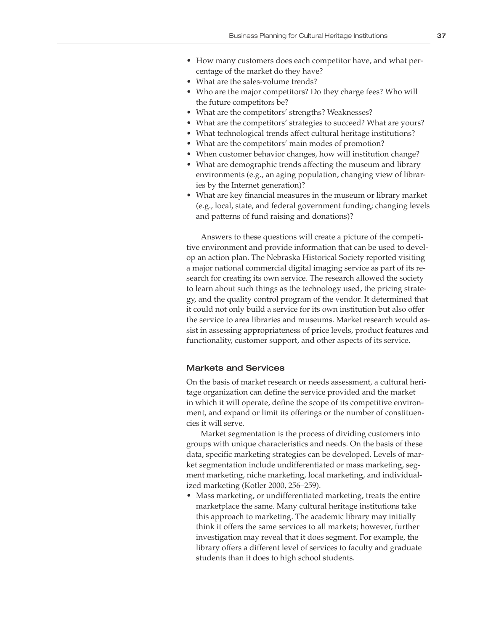- How many customers does each competitor have, and what percentage of the market do they have?
- What are the sales-volume trends?
- Who are the major competitors? Do they charge fees? Who will the future competitors be?
- What are the competitors' strengths? Weaknesses?
- What are the competitors' strategies to succeed? What are yours?
- What technological trends affect cultural heritage institutions?
- What are the competitors' main modes of promotion?
- When customer behavior changes, how will institution change?
- What are demographic trends affecting the museum and library environments (e.g., an aging population, changing view of libraries by the Internet generation)?
- What are key financial measures in the museum or library market (e.g., local, state, and federal government funding; changing levels and patterns of fund raising and donations)?

Answers to these questions will create a picture of the competitive environment and provide information that can be used to develop an action plan. The Nebraska Historical Society reported visiting a major national commercial digital imaging service as part of its research for creating its own service. The research allowed the society to learn about such things as the technology used, the pricing strategy, and the quality control program of the vendor. It determined that it could not only build a service for its own institution but also offer the service to area libraries and museums. Market research would assist in assessing appropriateness of price levels, product features and functionality, customer support, and other aspects of its service.

#### Markets and Services

On the basis of market research or needs assessment, a cultural heritage organization can define the service provided and the market in which it will operate, define the scope of its competitive environment, and expand or limit its offerings or the number of constituencies it will serve.

Market segmentation is the process of dividing customers into groups with unique characteristics and needs. On the basis of these data, specific marketing strategies can be developed. Levels of market segmentation include undifferentiated or mass marketing, segment marketing, niche marketing, local marketing, and individualized marketing (Kotler 2000, 256–259).

• Mass marketing, or undifferentiated marketing, treats the entire marketplace the same. Many cultural heritage institutions take this approach to marketing. The academic library may initially think it offers the same services to all markets; however, further investigation may reveal that it does segment. For example, the library offers a different level of services to faculty and graduate students than it does to high school students.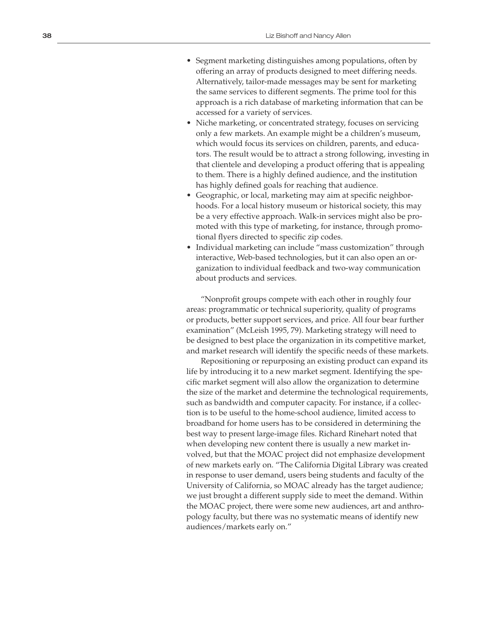- Segment marketing distinguishes among populations, often by offering an array of products designed to meet differing needs. Alternatively, tailor-made messages may be sent for marketing the same services to different segments. The prime tool for this approach is a rich database of marketing information that can be accessed for a variety of services.
- Niche marketing, or concentrated strategy, focuses on servicing only a few markets. An example might be a children's museum, which would focus its services on children, parents, and educa tors. The result would be to attract a strong following, investing in that clientele and developing a product offering that is appealing to them. There is a highly defined audience, and the institution has highly defined goals for reaching that audience.
- Geographic, or local, marketing may aim at specific neighbor hoods. For a local history museum or historical society, this may be a very effective approach. Walk-in services might also be pro moted with this type of marketing, for instance, through promo tional flyers directed to specific zip codes.
- Individual marketing can include "mass customization" through interactive, Web-based technologies, but it can also open an or ganization to individual feedback and two-way communication about products and services.

"Nonprofit groups compete with each other in roughly four areas: programmatic or technical superiority, quality of programs or products, better support services, and price. All four bear further examination" (McLeish 1995, 79). Marketing strategy will need to be designed to best place the organization in its competitive market, and market research will identify the specific needs of these markets.

Repositioning or repurposing an existing product can expand its life by introducing it to a new market segment. Identifying the spe cific market segment will also allow the organization to determine the size of the market and determine the technological requirements, such as bandwidth and computer capacity. For instance, if a collec tion is to be useful to the home-school audience, limited access to broadband for home users has to be considered in determining the best way to present large-image files. Richard Rinehart noted that when developing new content there is usually a new market in volved, but that the MOAC project did not emphasize development of new markets early on. "The California Digital Library was created in response to user demand, users being students and faculty of the University of California, so MOAC already has the target audience; we just brought a different supply side to meet the demand. Within the MOAC project, there were some new audiences, art and anthro pology faculty, but there was no systematic means of identify new audiences/markets early on."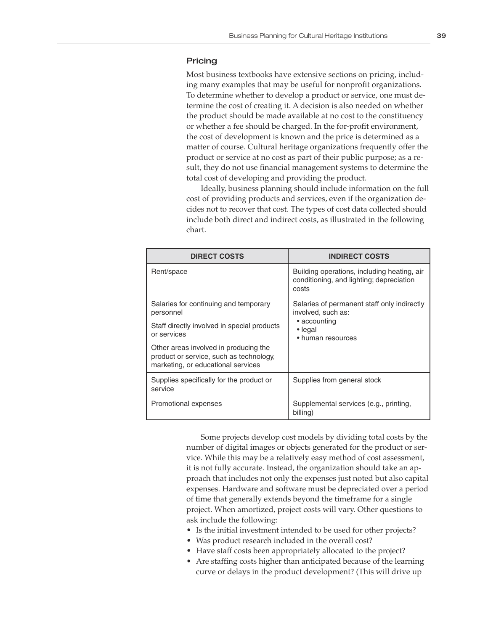#### **Pricing**

Most business textbooks have extensive sections on pricing, including many examples that may be useful for nonprofit organizations. To determine whether to develop a product or service, one must determine the cost of creating it. A decision is also needed on whether the product should be made available at no cost to the constituency or whether a fee should be charged. In the for-profit environment, the cost of development is known and the price is determined as a matter of course. Cultural heritage organizations frequently offer the product or service at no cost as part of their public purpose; as a result, they do not use financial management systems to determine the total cost of developing and providing the product.

Ideally, business planning should include information on the full cost of providing products and services, even if the organization decides not to recover that cost. The types of cost data collected should include both direct and indirect costs, as illustrated in the following chart.

| <b>DIRECT COSTS</b>                                                                                                    | <b>INDIRECT COSTS</b>                                                                            |
|------------------------------------------------------------------------------------------------------------------------|--------------------------------------------------------------------------------------------------|
| Rent/space                                                                                                             | Building operations, including heating, air<br>conditioning, and lighting; depreciation<br>costs |
| Salaries for continuing and temporary<br>personnel                                                                     | Salaries of permanent staff only indirectly<br>involved, such as:                                |
| Staff directly involved in special products<br>or services                                                             | • accounting<br>$\bullet$ legal<br>• human resources                                             |
| Other areas involved in producing the<br>product or service, such as technology,<br>marketing, or educational services |                                                                                                  |
| Supplies specifically for the product or<br>service                                                                    | Supplies from general stock                                                                      |
| Promotional expenses                                                                                                   | Supplemental services (e.g., printing,<br>billing)                                               |

Some projects develop cost models by dividing total costs by the number of digital images or objects generated for the product or service. While this may be a relatively easy method of cost assessment, it is not fully accurate. Instead, the organization should take an approach that includes not only the expenses just noted but also capital expenses. Hardware and software must be depreciated over a period of time that generally extends beyond the timeframe for a single project. When amortized, project costs will vary. Other questions to ask include the following:

- Is the initial investment intended to be used for other projects?
- Was product research included in the overall cost?
- Have staff costs been appropriately allocated to the project?
- Are staffing costs higher than anticipated because of the learning curve or delays in the product development? (This will drive up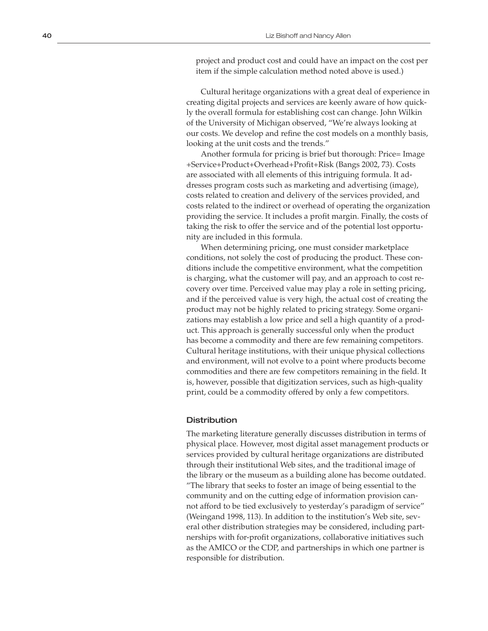project and product cost and could have an impact on the cost per item if the simple calculation method noted above is used.)

Cultural heritage organizations with a great deal of experience in creating digital projects and services are keenly aware of how quick ly the overall formula for establishing cost can change. John Wilkin of the University of Michigan observed, "We're always looking at our costs. We develop and refine the cost models on a monthly basis, looking at the unit costs and the trends."

Another formula for pricing is brief but thorough: Price= Image +Service+Product+Overhead+Profit+Risk (Bangs 2002, 73). Costs are associated with all elements of this intriguing formula. It ad dresses program costs such as marketing and advertising (image), costs related to creation and delivery of the services provided, and costs related to the indirect or overhead of operating the organization providing the service. It includes a profit margin. Finally, the costs of taking the risk to offer the service and of the potential lost opportu nity are included in this formula.

When determining pricing, one must consider marketplace conditions, not solely the cost of producing the product. These con ditions include the competitive environment, what the competition is charging, what the customer will pay, and an approach to cost re covery over time. Perceived value may play a role in setting pricing, and if the perceived value is very high, the actual cost of creating the product may not be highly related to pricing strategy. Some organi zations may establish a low price and sell a high quantity of a prod uct. This approach is generally successful only when the product has become a commodity and there are few remaining competitors. Cultural heritage institutions, with their unique physical collections and environment, will not evolve to a point where products become commodities and there are few competitors remaining in the field. It is, however, possible that digitization services, such as high-quality print, could be a commodity offered by only a few competitors.

#### **Distribution**

The marketing literature generally discusses distribution in terms of physical place. However, most digital asset management products or services provided by cultural heritage organizations are distributed through their institutional Web sites, and the traditional image of the library or the museum as a building alone has become outdated. "The library that seeks to foster an image of being essential to the community and on the cutting edge of information provision can not afford to be tied exclusively to yesterday's paradigm of service" (Weingand 1998, 113). In addition to the institution's Web site, sev eral other distribution strategies may be considered, including part nerships with for-profit organizations, collaborative initiatives such as the AMICO or the CDP, and partnerships in which one partner is responsible for distribution.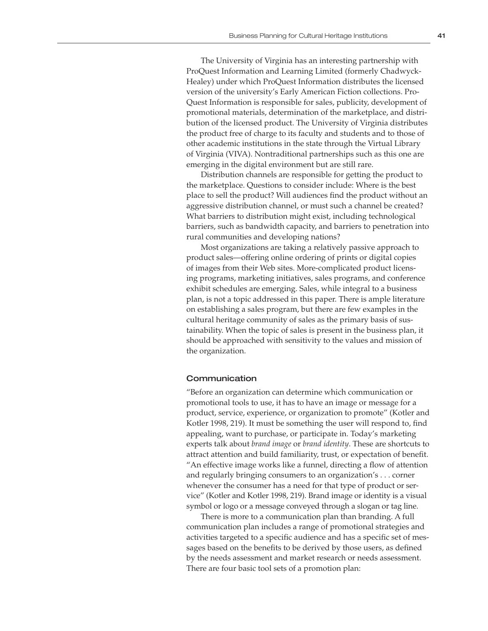The University of Virginia has an interesting partnership with ProQuest Information and Learning Limited (formerly Chadwyck-Healey) under which ProQuest Information distributes the licensed version of the university's Early American Fiction collections. Pro-Quest Information is responsible for sales, publicity, development of promotional materials, determination of the marketplace, and distribution of the licensed product. The University of Virginia distributes the product free of charge to its faculty and students and to those of other academic institutions in the state through the Virtual Library of Virginia (VIVA). Nontraditional partnerships such as this one are emerging in the digital environment but are still rare.

Distribution channels are responsible for getting the product to the marketplace. Questions to consider include: Where is the best place to sell the product? Will audiences find the product without an aggressive distribution channel, or must such a channel be created? What barriers to distribution might exist, including technological barriers, such as bandwidth capacity, and barriers to penetration into rural communities and developing nations?

Most organizations are taking a relatively passive approach to product sales—offering online ordering of prints or digital copies of images from their Web sites. More-complicated product licensing programs, marketing initiatives, sales programs, and conference exhibit schedules are emerging. Sales, while integral to a business plan, is not a topic addressed in this paper. There is ample literature on establishing a sales program, but there are few examples in the cultural heritage community of sales as the primary basis of sustainability. When the topic of sales is present in the business plan, it should be approached with sensitivity to the values and mission of the organization.

#### Communication

"Before an organization can determine which communication or promotional tools to use, it has to have an image or message for a product, service, experience, or organization to promote" (Kotler and Kotler 1998, 219). It must be something the user will respond to, find appealing, want to purchase, or participate in. Today's marketing experts talk about *brand image* or *brand identity*. These are shortcuts to attract attention and build familiarity, trust, or expectation of benefit. "An effective image works like a funnel, directing a flow of attention and regularly bringing consumers to an organization's . . . corner whenever the consumer has a need for that type of product or service" (Kotler and Kotler 1998, 219). Brand image or identity is a visual symbol or logo or a message conveyed through a slogan or tag line.

There is more to a communication plan than branding. A full communication plan includes a range of promotional strategies and activities targeted to a specific audience and has a specific set of messages based on the benefits to be derived by those users, as defined by the needs assessment and market research or needs assessment. There are four basic tool sets of a promotion plan: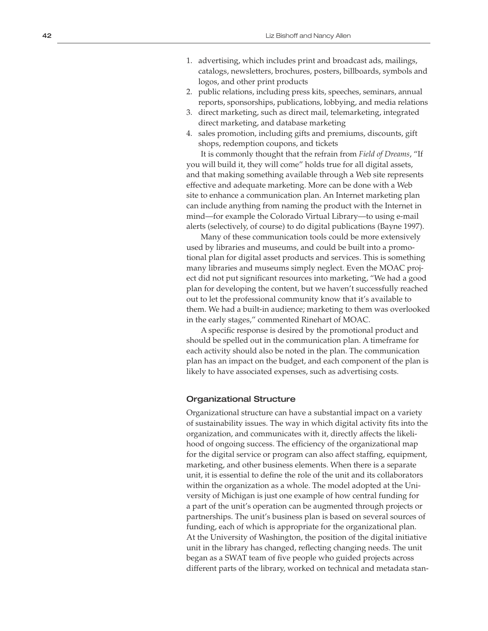- 1. advertising, which includes print and broadcast ads, mailings, catalogs, newsletters, brochures, posters, billboards, symbols and logos, and other print products
- 2. public relations, including press kits, speeches, seminars, annual reports, sponsorships, publications, lobbying, and media relations
- 3. direct marketing, such as direct mail, telemarketing, integrated direct marketing, and database marketing
- 4. sales promotion, including gifts and premiums, discounts, gift shops, redemption coupons, and tickets

It is commonly thought that the refrain from *Field of Dreams*, "If you will build it, they will come" holds true for all digital assets, and that making something available through a Web site represents effective and adequate marketing. More can be done with a Web site to enhance a communication plan. An Internet marketing plan can include anything from naming the product with the Internet in mind—for example the Colorado Virtual Library—to using e-mail alerts (selectively, of course) to do digital publications (Bayne 1997).

Many of these communication tools could be more extensively used by libraries and museums, and could be built into a promo tional plan for digital asset products and services. This is something many libraries and museums simply neglect. Even the MOAC proj ect did not put significant resources into marketing, "We had a good plan for developing the content, but we haven't successfully reached out to let the professional community know that it's available to them. We had a built-in audience; marketing to them was overlooked in the early stages," commented Rinehart of MOAC.

A specific response is desired by the promotional product and should be spelled out in the communication plan. A timeframe for each activity should also be noted in the plan. The communication plan has an impact on the budget, and each component of the plan is likely to have associated expenses, such as advertising costs.

#### Organizational Structure

Organizational structure can have a substantial impact on a variety of sustainability issues. The way in which digital activity fits into the organization, and communicates with it, directly affects the likeli hood of ongoing success. The efficiency of the organizational map for the digital service or program can also affect staffing, equipment, marketing, and other business elements. When there is a separate unit, it is essential to define the role of the unit and its collaborators within the organization as a whole. The model adopted at the Uni versity of Michigan is just one example of how central funding for a part of the unit's operation can be augmented through projects or partnerships. The unit's business plan is based on several sources of funding, each of which is appropriate for the organizational plan. At the University of Washington, the position of the digital initiative unit in the library has changed, reflecting changing needs. The unit began as a SWAT team of five people who guided projects across different parts of the library, worked on technical and metadata stan -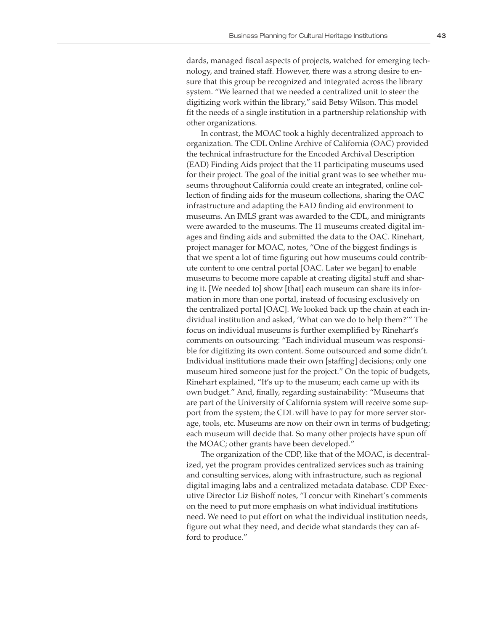dards, managed fiscal aspects of projects, watched for emerging technology, and trained staff. However, there was a strong desire to ensure that this group be recognized and integrated across the library system. "We learned that we needed a centralized unit to steer the digitizing work within the library," said Betsy Wilson. This model fit the needs of a single institution in a partnership relationship with other organizations.

In contrast, the MOAC took a highly decentralized approach to organization. The CDL Online Archive of California (OAC) provided the technical infrastructure for the Encoded Archival Description (EAD) Finding Aids project that the 11 participating museums used for their project. The goal of the initial grant was to see whether museums throughout California could create an integrated, online collection of finding aids for the museum collections, sharing the OAC infrastructure and adapting the EAD finding aid environment to museums. An IMLS grant was awarded to the CDL, and minigrants were awarded to the museums. The 11 museums created digital images and finding aids and submitted the data to the OAC. Rinehart, project manager for MOAC, notes, "One of the biggest findings is that we spent a lot of time figuring out how museums could contribute content to one central portal [OAC. Later we began] to enable museums to become more capable at creating digital stuff and sharing it. [We needed to] show [that] each museum can share its information in more than one portal, instead of focusing exclusively on the centralized portal [OAC]. We looked back up the chain at each individual institution and asked, 'What can we do to help them?'" The focus on individual museums is further exemplified by Rinehart's comments on outsourcing: "Each individual museum was responsible for digitizing its own content. Some outsourced and some didn't. Individual institutions made their own [staffing] decisions; only one museum hired someone just for the project." On the topic of budgets, Rinehart explained, "It's up to the museum; each came up with its own budget." And, finally, regarding sustainability: "Museums that are part of the University of California system will receive some support from the system; the CDL will have to pay for more server storage, tools, etc. Museums are now on their own in terms of budgeting; each museum will decide that. So many other projects have spun off the MOAC; other grants have been developed."

The organization of the CDP, like that of the MOAC, is decentralized, yet the program provides centralized services such as training and consulting services, along with infrastructure, such as regional digital imaging labs and a centralized metadata database. CDP Executive Director Liz Bishoff notes, "I concur with Rinehart's comments on the need to put more emphasis on what individual institutions need. We need to put effort on what the individual institution needs, figure out what they need, and decide what standards they can afford to produce."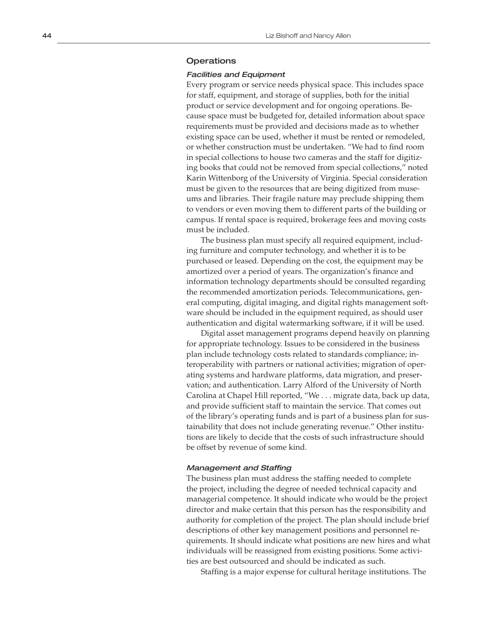#### **Operations**

#### Facilities and Equipment

Every program or service needs physical space. This includes space for staff, equipment, and storage of supplies, both for the initial product or service development and for ongoing operations. Be cause space must be budgeted for, detailed information about space requirements must be provided and decisions made as to whether existing space can be used, whether it must be rented or remodeled, or whether construction must be undertaken. "We had to find room in special collections to house two cameras and the staff for digitiz ing books that could not be removed from special collections," noted Karin Wittenborg of the University of Virginia. Special consideration must be given to the resources that are being digitized from muse ums and libraries. Their fragile nature may preclude shipping them to vendors or even moving them to different parts of the building or campus. If rental space is required, brokerage fees and moving costs must be included.

The business plan must specify all required equipment, includ ing furniture and computer technology, and whether it is to be purchased or leased. Depending on the cost, the equipment may be amortized over a period of years. The organization's finance and information technology departments should be consulted regarding the recommended amortization periods. Telecommunications, gen eral computing, digital imaging, and digital rights management soft ware should be included in the equipment required, as should user authentication and digital watermarking software, if it will be used.

Digital asset management programs depend heavily on planning for appropriate technology. Issues to be considered in the business plan include technology costs related to standards compliance; in teroperability with partners or national activities; migration of oper ating systems and hardware platforms, data migration, and preser vation; and authentication. Larry Alford of the University of North Carolina at Chapel Hill reported, "We . . . migrate data, back up data, and provide sufficient staff to maintain the service. That comes out of the library's operating funds and is part of a business plan for sus tainability that does not include generating revenue." Other institu tions are likely to decide that the costs of such infrastructure should be offset by revenue of some kind.

#### Management and Staffing

The business plan must address the staffing needed to complete the project, including the degree of needed technical capacity and managerial competence. It should indicate who would be the project director and make certain that this person has the responsibility and authority for completion of the project. The plan should include brief descriptions of other key management positions and personnel re quirements. It should indicate what positions are new hires and what individuals will be reassigned from existing positions. Some activi ties are best outsourced and should be indicated as such.

Staffing is a major expense for cultural heritage institutions. The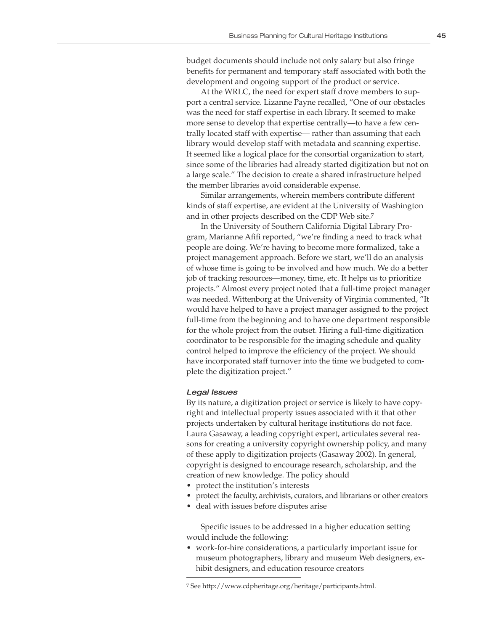budget documents should include not only salary but also fringe benefits for permanent and temporary staff associated with both the development and ongoing support of the product or service.

At the WRLC, the need for expert staff drove members to support a central service. Lizanne Payne recalled, "One of our obstacles was the need for staff expertise in each library. It seemed to make more sense to develop that expertise centrally—to have a few centrally located staff with expertise— rather than assuming that each library would develop staff with metadata and scanning expertise. It seemed like a logical place for the consortial organization to start, since some of the libraries had already started digitization but not on a large scale." The decision to create a shared infrastructure helped the member libraries avoid considerable expense.

Similar arrangements, wherein members contribute different kinds of staff expertise, are evident at the University of Washington and in other projects described on the CDP Web site.7

In the University of Southern California Digital Library Program, Marianne Afifi reported, "we're finding a need to track what people are doing. We're having to become more formalized, take a project management approach. Before we start, we'll do an analysis of whose time is going to be involved and how much. We do a better job of tracking resources—money, time, etc. It helps us to prioritize projects." Almost every project noted that a full-time project manager was needed. Wittenborg at the University of Virginia commented, "It would have helped to have a project manager assigned to the project full-time from the beginning and to have one department responsible for the whole project from the outset. Hiring a full-time digitization coordinator to be responsible for the imaging schedule and quality control helped to improve the efficiency of the project. We should have incorporated staff turnover into the time we budgeted to complete the digitization project."

#### Legal Issues

By its nature, a digitization project or service is likely to have copyright and intellectual property issues associated with it that other projects undertaken by cultural heritage institutions do not face. Laura Gasaway, a leading copyright expert, articulates several reasons for creating a university copyright ownership policy, and many of these apply to digitization projects (Gasaway 2002). In general, copyright is designed to encourage research, scholarship, and the creation of new knowledge. The policy should

- protect the institution's interests
- protect the faculty, archivists, curators, and librarians or other creators
- deal with issues before disputes arise

Specific issues to be addressed in a higher education setting would include the following:

• work-for-hire considerations, a particularly important issue for museum photographers, library and museum Web designers, exhibit designers, and education resource creators

<sup>7</sup> See http://www.cdpheritage.org/heritage/participants.html.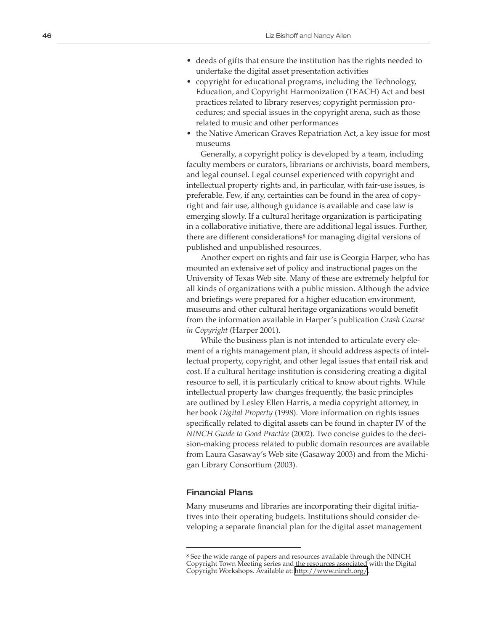- deeds of gifts that ensure the institution has the rights needed to undertake the digital asset presentation activities
- copyright for educational programs, including the Technology, Education, and Copyright Harmonization (TEACH) Act and best practices related to library reserves; copyright permission pro cedures; and special issues in the copyright arena, such as those related to music and other performances
- the Native American Graves Repatriation Act, a key issue for most museums

Generally, a copyright policy is developed by a team, including faculty members or curators, librarians or archivists, board members, and legal counsel. Legal counsel experienced with copyright and intellectual property rights and, in particular, with fair-use issues, is preferable. Few, if any, certainties can be found in the area of copy right and fair use, although guidance is available and case law is emerging slowly. If a cultural heritage organization is participating in a collaborative initiative, there are additional legal issues. Further, there are different considerations 8 for managing digital versions of published and unpublished resources.

Another expert on rights and fair use is Georgia Harper, who has mounted an extensive set of policy and instructional pages on the University of Texas Web site. Many of these are extremely helpful for all kinds of organizations with a public mission. Although the advice and briefings were prepared for a higher education environment, museums and other cultural heritage organizations would benefit from the information available in Harper's publication *Crash Course in Copyright* (Harper 2001).

While the business plan is not intended to articulate every ele ment of a rights management plan, it should address aspects of intel lectual property, copyright, and other legal issues that entail risk and cost. If a cultural heritage institution is considering creating a digital resource to sell, it is particularly critical to know about rights. While intellectual property law changes frequently, the basic principles are outlined by Lesley Ellen Harris, a media copyright attorney, in her book *Digital Property* (1998). More information on rights issues specifically related to digital assets can be found in chapter IV of the *NINCH Guide to Good Practice* (2002). Two concise guides to the deci sion-making process related to public domain resources are available from Laura Gasaway's Web site (Gasaway 2003) and from the Michi gan Library Consortium (2003).

#### Financial Plans

Many museums and libraries are incorporating their digital initia tives into their operating budgets. Institutions should consider de veloping a separate financial plan for the digital asset management<br>  $\overline{\phantom{1}}$ <br>
<sup>8</sup> See the wide range of papers and resources available through the NINCH

Copyright Town Meeting series and the resources associated with the Digital Copyright Workshops. Available at: <http://www.ninch.org/>.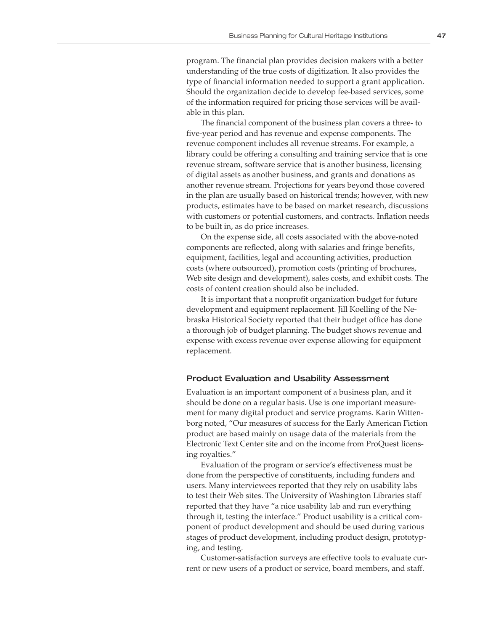program. The financial plan provides decision makers with a better understanding of the true costs of digitization. It also provides the type of financial information needed to support a grant application. Should the organization decide to develop fee-based services, some of the information required for pricing those services will be available in this plan.

The financial component of the business plan covers a three- to five-year period and has revenue and expense components. The revenue component includes all revenue streams. For example, a library could be offering a consulting and training service that is one revenue stream, software service that is another business, licensing of digital assets as another business, and grants and donations as another revenue stream. Projections for years beyond those covered in the plan are usually based on historical trends; however, with new products, estimates have to be based on market research, discussions with customers or potential customers, and contracts. Inflation needs to be built in, as do price increases.

On the expense side, all costs associated with the above-noted components are reflected, along with salaries and fringe benefits, equipment, facilities, legal and accounting activities, production costs (where outsourced), promotion costs (printing of brochures, Web site design and development), sales costs, and exhibit costs. The costs of content creation should also be included.

It is important that a nonprofit organization budget for future development and equipment replacement. Jill Koelling of the Nebraska Historical Society reported that their budget office has done a thorough job of budget planning. The budget shows revenue and expense with excess revenue over expense allowing for equipment replacement.

#### Product Evaluation and Usability Assessment

Evaluation is an important component of a business plan, and it should be done on a regular basis. Use is one important measurement for many digital product and service programs. Karin Wittenborg noted, "Our measures of success for the Early American Fiction product are based mainly on usage data of the materials from the Electronic Text Center site and on the income from ProQuest licensing royalties."

Evaluation of the program or service's effectiveness must be done from the perspective of constituents, including funders and users. Many interviewees reported that they rely on usability labs to test their Web sites. The University of Washington Libraries staff reported that they have "a nice usability lab and run everything through it, testing the interface." Product usability is a critical component of product development and should be used during various stages of product development, including product design, prototyping, and testing.

Customer-satisfaction surveys are effective tools to evaluate current or new users of a product or service, board members, and staff.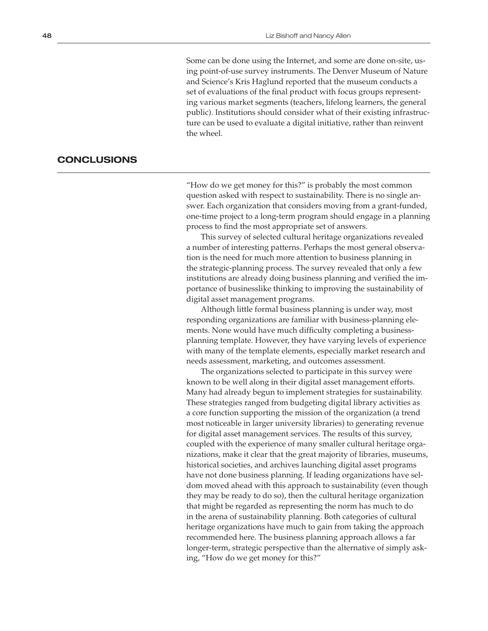Some can be done using the Internet, and some are done on-site, using point-of-use survey instruments. The Denver Museum of Nature and Science's Kris Haglund reported that the museum conducts a set of evaluations of the final product with focus groups representing various market segments (teachers, lifelong learners, the general public). Institutions should consider what of their existing infrastructure can be used to evaluate a digital initiative, rather than reinvent the wheel.

#### **CONCLUSIONS**

"How do we get money for this?" is probably the most common question asked with respect to sustainability. There is no single answer. Each organization that considers moving from a grant-funded, one-time project to a long-term program should engage in a planning process to find the most appropriate set of answers.

This survey of selected cultural heritage organizations revealed a number of interesting patterns. Perhaps the most general observation is the need for much more attention to business planning in the strategic-planning process. The survey revealed that only a few institutions are already doing business planning and verified the importance of businesslike thinking to improving the sustainability of digital asset management programs.

Although little formal business planning is under way, most responding organizations are familiar with business-planning elements. None would have much difficulty completing a businessplanning template. However, they have varying levels of experience with many of the template elements, especially market research and needs assessment, marketing, and outcomes assessment.

The organizations selected to participate in this survey were known to be well along in their digital asset management efforts. Many had already begun to implement strategies for sustainability. These strategies ranged from budgeting digital library activities as a core function supporting the mission of the organization (a trend most noticeable in larger university libraries) to generating revenue for digital asset management services. The results of this survey, coupled with the experience of many smaller cultural heritage organizations, make it clear that the great majority of libraries, museums, historical societies, and archives launching digital asset programs have not done business planning. If leading organizations have seldom moved ahead with this approach to sustainability (even though they may be ready to do so), then the cultural heritage organization that might be regarded as representing the norm has much to do in the arena of sustainability planning. Both categories of cultural heritage organizations have much to gain from taking the approach recommended here. The business planning approach allows a far longer-term, strategic perspective than the alternative of simply asking, "How do we get money for this?"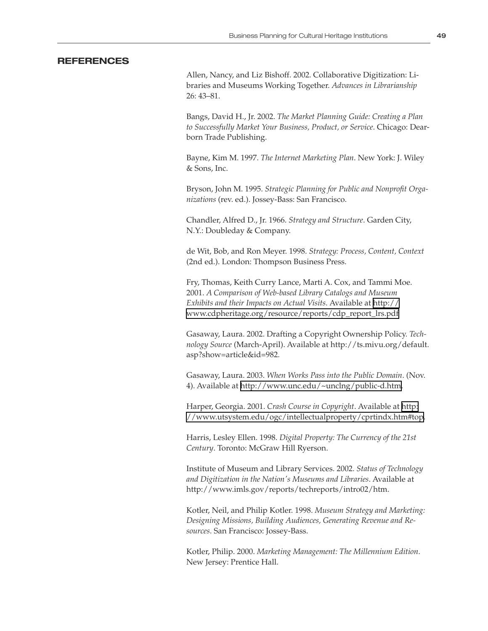#### **REFERENCES**

Allen, Nancy, and Liz Bishoff. 2002. Collaborative Digitization: Libraries and Museums Working Together. *Advances in Librarianship* 26: 43–81.

Bangs, David H., Jr. 2002. *The Market Planning Guide: Creating a Plan to Successfully Market Your Business, Product, or Service*. Chicago: Dearborn Trade Publishing.

Bayne, Kim M. 1997. *The Internet Marketing Plan*. New York: J. Wiley & Sons, Inc.

Bryson, John M. 1995. *Strategic Planning for Public and Nonprofit Organizations* (rev. ed.). Jossey-Bass: San Francisco.

Chandler, Alfred D., Jr. 1966. *Strategy and Structure*. Garden City, N.Y.: Doubleday & Company.

de Wit, Bob, and Ron Meyer. 1998. *Strategy: Process, Content, Context* (2nd ed.). London: Thompson Business Press.

Fry, Thomas, Keith Curry Lance, Marti A. Cox, and Tammi Moe. 2001. *A Comparison of Web-based Library Catalogs and Museum Exhibits and their Impacts on Actual Visits*. Available at [http://](http://www.cdpheritage.org/resource/reports/cdp_report_lrs.pdf) [www.cdpheritage.org/resource/reports/cdp\\_report\\_lrs.pdf](http://www.cdpheritage.org/resource/reports/cdp_report_lrs.pdf)

Gasaway, Laura. 2002. Drafting a Copyright Ownership Policy. *Technology Source* (March-April). Available at http://ts.mivu.org/default. asp?show=article&id=982.

Gasaway, Laura. 2003. *When Works Pass into the Public Domain*. (Nov. 4). Available at [http://www.unc.edu/~unclng/public-d.htm.](http://www.unc.edu/~unclng/public-d.htm)

Harper, Georgia. 2001. *Crash Course in Copyright*. Available at [http:](http://www.utsystem.edu/ogc/intellectualproperty/cprtindx.htm#top) [//www.utsystem.edu/ogc/intellectualproperty/cprtindx.htm#top.](http://www.utsystem.edu/ogc/intellectualproperty/cprtindx.htm#top)

Harris, Lesley Ellen. 1998. *Digital Property: The Currency of the 21st Century*. Toronto: McGraw Hill Ryerson.

Institute of Museum and Library Services. 2002. *Status of Technology and Digitization in the Nation's Museums and Libraries*. Available at http://www.imls.gov/reports/techreports/intro02/htm.

Kotler, Neil, and Philip Kotler. 1998. *Museum Strategy and Marketing: Designing Missions, Building Audiences, Generating Revenue and Resources*. San Francisco: Jossey-Bass.

Kotler, Philip. 2000. *Marketing Management: The Millennium Edition*. New Jersey: Prentice Hall.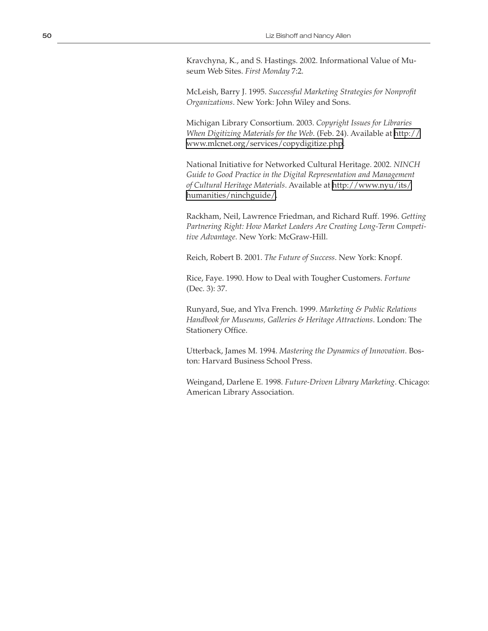Kravchyna, K., and S. Hastings. 2002. Informational Value of Museum Web Sites. *First Monday* 7:2.

McLeish, Barry J. 1995. *Successful Marketing Strategies for Nonprofit Organizations*. New York: John Wiley and Sons.

Michigan Library Consortium. 2003. *Copyright Issues for Libraries When Digitizing Materials for the Web*. (Feb. 24). Available at [http://](http://www.mlcnet.org/services/copydigitize.php) [www.mlcnet.org/services/copydigitize.php](http://www.mlcnet.org/services/copydigitize.php).

National Initiative for Networked Cultural Heritage. 2002. *NINCH Guide to Good Practice in the Digital Representation and Management of Cultural Heritage Materials*. Available at [http://www.nyu/its/](http://www.nyu/its/humanities/ninchguide/) [humanities/ninchguide/.](http://www.nyu/its/humanities/ninchguide/)

Rackham, Neil, Lawrence Friedman, and Richard Ruff. 1996. *Getting Partnering Right: How Market Leaders Are Creating Long-Term Competitive Advantage*. New York: McGraw-Hill.

Reich, Robert B. 2001. *The Future of Success*. New York: Knopf.

Rice, Faye. 1990. How to Deal with Tougher Customers. *Fortune*  (Dec. 3): 37.

Runyard, Sue, and Ylva French. 1999. *Marketing & Public Relations Handbook for Museums, Galleries & Heritage Attractions*. London: The Stationery Office.

Utterback, James M. 1994. *Mastering the Dynamics of Innovation*. Boston: Harvard Business School Press.

Weingand, Darlene E. 1998. *Future-Driven Library Marketing*. Chicago: American Library Association.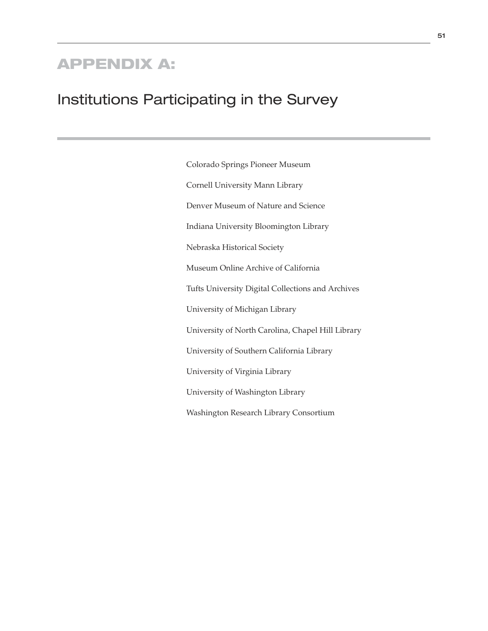## APPENDIX A:

## Institutions Participating in the Survey

Colorado Springs Pioneer Museum Cornell University Mann Library Denver Museum of Nature and Science Indiana University Bloomington Library Nebraska Historical Society Museum Online Archive of California Tufts University Digital Collections and Archives University of Michigan Library University of North Carolina, Chapel Hill Library University of Southern California Library University of Virginia Library University of Washington Library Washington Research Library Consortium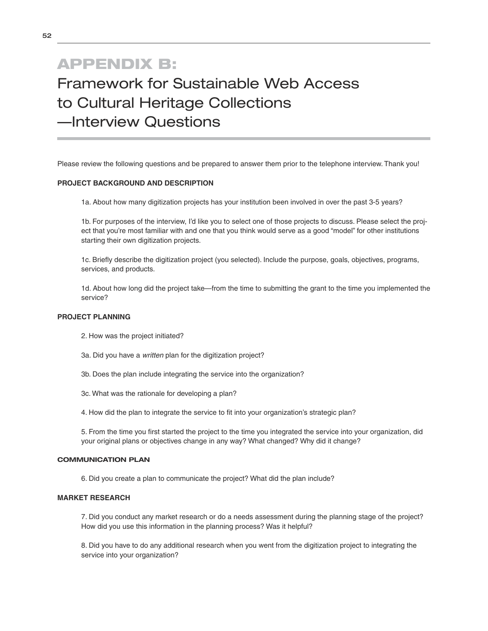## APPENDIX B: Framework for Sustainable Web Access to Cultural Heritage Collections —Interview Questions

Please review the following questions and be prepared to answer them prior to the telephone interview. Thank you!

#### **PROJECT BACKGROUND AND DESCRIPTION**

1a. About how many digitization projects has your institution been involved in over the past 3-5 years?

1b. For purposes of the interview, I'd like you to select one of those projects to discuss. Please select the project that you're most familiar with and one that you think would serve as a good "model" for other institutions starting their own digitization projects.

1c. Briefly describe the digitization project (you selected). Include the purpose, goals, objectives, programs, services, and products.

1d. About how long did the project take—from the time to submitting the grant to the time you implemented the service?

#### **PROJECT PLANNING**

2. How was the project initiated?

- 3a. Did you have a written plan for the digitization project?
- 3b. Does the plan include integrating the service into the organization?
- 3c. What was the rationale for developing a plan?
- 4. How did the plan to integrate the service to fit into your organization's strategic plan?

5. From the time you first started the project to the time you integrated the service into your organization, did your original plans or objectives change in any way? What changed? Why did it change?

#### **COMMUNICATION PLAN**

6. Did you create a plan to communicate the project? What did the plan include?

#### **MARKET RESEARCH**

7. Did you conduct any market research or do a needs assessment during the planning stage of the project? How did you use this information in the planning process? Was it helpful?

8. Did you have to do any additional research when you went from the digitization project to integrating the service into your organization?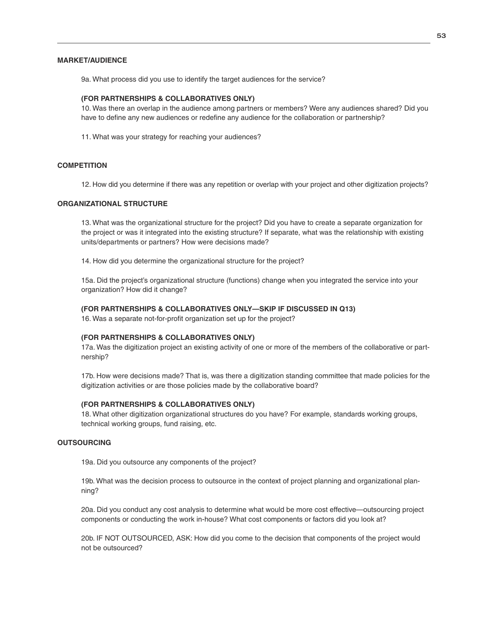#### **MARKET/AUDIENCE**

9a. What process did you use to identify the target audiences for the service?

#### **(FOR PARTNERSHIPS & COLLABORATIVES ONLY)**

10. Was there an overlap in the audience among partners or members? Were any audiences shared? Did you have to define any new audiences or redefine any audience for the collaboration or partnership?

11. What was your strategy for reaching your audiences?

#### **COMPETITION**

12. How did you determine if there was any repetition or overlap with your project and other digitization projects?

#### **ORGANIZATIONAL STRUCTURE**

13. What was the organizational structure for the project? Did you have to create a separate organization for the project or was it integrated into the existing structure? If separate, what was the relationship with existing units/departments or partners? How were decisions made?

14. How did you determine the organizational structure for the project?

15a. Did the project's organizational structure (functions) change when you integrated the service into your organization? How did it change?

#### **(FOR PARTNERSHIPS & COLLABORATIVES ONLY—SKIP IF DISCUSSED IN Q13)**

16. Was a separate not-for-profit organization set up for the project?

#### **(FOR PARTNERSHIPS & COLLABORATIVES ONLY)**

17a. Was the digitization project an existing activity of one or more of the members of the collaborative or partnership?

17b. How were decisions made? That is, was there a digitization standing committee that made policies for the digitization activities or are those policies made by the collaborative board?

#### **(FOR PARTNERSHIPS & COLLABORATIVES ONLY)**

18. What other digitization organizational structures do you have? For example, standards working groups, technical working groups, fund raising, etc.

#### **OUTSOURCING**

19a. Did you outsource any components of the project?

19b. What was the decision process to outsource in the context of project planning and organizational planning?

20a. Did you conduct any cost analysis to determine what would be more cost effective—outsourcing project components or conducting the work in-house? What cost components or factors did you look at?

20b. IF NOT OUTSOURCED, ASK: How did you come to the decision that components of the project would not be outsourced?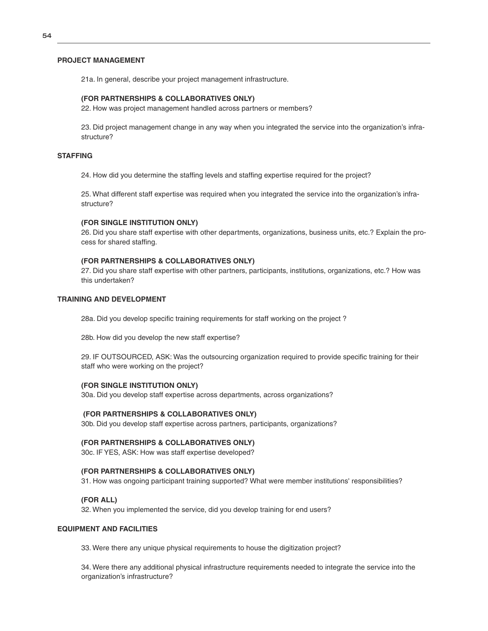#### **PROJECT MANAGEMENT**

21a. In general, describe your project management infrastructure.

#### **(FOR PARTNERSHIPS & COLLABORATIVES ONLY)**

22. How was project management handled across partners or members?

23. Did project management change in any way when you integrated the service into the organization's infrastructure?

#### **STAFFING**

24. How did you determine the staffing levels and staffing expertise required for the project?

25. What different staff expertise was required when you integrated the service into the organization's infrastructure?

#### **(FOR SINGLE INSTITUTION ONLY)**

26. Did you share staff expertise with other departments, organizations, business units, etc.? Explain the process for shared staffing.

#### **(FOR PARTNERSHIPS & COLLABORATIVES ONLY)**

27. Did you share staff expertise with other partners, participants, institutions, organizations, etc.? How was this undertaken?

#### **TRAINING AND DEVELOPMENT**

28a. Did you develop specific training requirements for staff working on the project ?

28b. How did you develop the new staff expertise?

29. IF OUTSOURCED, ASK: Was the outsourcing organization required to provide specific training for their staff who were working on the project?

#### **(FOR SINGLE INSTITUTION ONLY)**

30a. Did you develop staff expertise across departments, across organizations?

#### **(FOR PARTNERSHIPS & COLLABORATIVES ONLY)**

30b. Did you develop staff expertise across partners, participants, organizations?

#### **(FOR PARTNERSHIPS & COLLABORATIVES ONLY)**

30c. IF YES, ASK: How was staff expertise developed?

#### **(FOR PARTNERSHIPS & COLLABORATIVES ONLY)**

31. How was ongoing participant training supported? What were member institutions' responsibilities?

#### **(FOR ALL)**

32. When you implemented the service, did you develop training for end users?

#### **EQUIPMENT AND FACILITIES**

33. Were there any unique physical requirements to house the digitization project?

34. Were there any additional physical infrastructure requirements needed to integrate the service into the organization's infrastructure?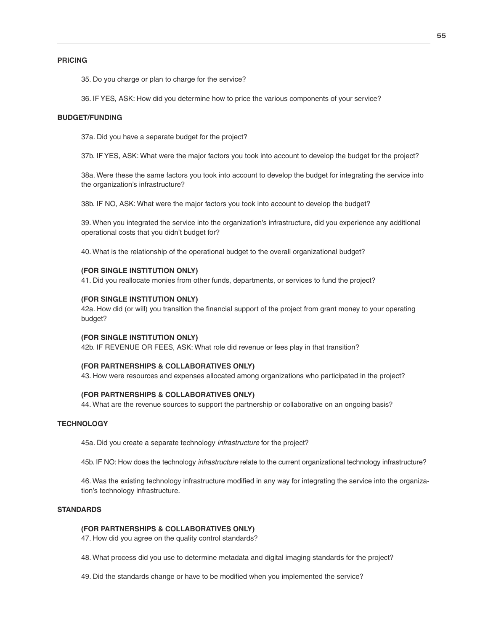#### **PRICING**

35. Do you charge or plan to charge for the service?

36. IF YES, ASK: How did you determine how to price the various components of your service?

#### **BUDGET/FUNDING**

37a. Did you have a separate budget for the project?

37b. IF YES, ASK: What were the major factors you took into account to develop the budget for the project?

38a. Were these the same factors you took into account to develop the budget for integrating the service into the organization's infrastructure?

38b. IF NO, ASK: What were the major factors you took into account to develop the budget?

39. When you integrated the service into the organization's infrastructure, did you experience any additional operational costs that you didn't budget for?

40. What is the relationship of the operational budget to the overall organizational budget?

#### **(FOR SINGLE INSTITUTION ONLY)**

41. Did you reallocate monies from other funds, departments, or services to fund the project?

#### **(FOR SINGLE INSTITUTION ONLY)**

42a. How did (or will) you transition the financial support of the project from grant money to your operating budget?

#### **(FOR SINGLE INSTITUTION ONLY)**

42b. IF REVENUE OR FEES, ASK: What role did revenue or fees play in that transition?

#### **(FOR PARTNERSHIPS & COLLABORATIVES ONLY)**

43. How were resources and expenses allocated among organizations who participated in the project?

#### **(FOR PARTNERSHIPS & COLLABORATIVES ONLY)**

44. What are the revenue sources to support the partnership or collaborative on an ongoing basis?

#### **TECHNOLOGY**

45a. Did you create a separate technology *infrastructure* for the project?

45b. IF NO: How does the technology *infrastructure* relate to the current organizational technology infrastructure?

46. Was the existing technology infrastructure modified in any way for integrating the service into the organization's technology infrastructure.

#### **STANDARDS**

#### **(FOR PARTNERSHIPS & COLLABORATIVES ONLY)**

47. How did you agree on the quality control standards?

48. What process did you use to determine metadata and digital imaging standards for the project?

49. Did the standards change or have to be modified when you implemented the service?